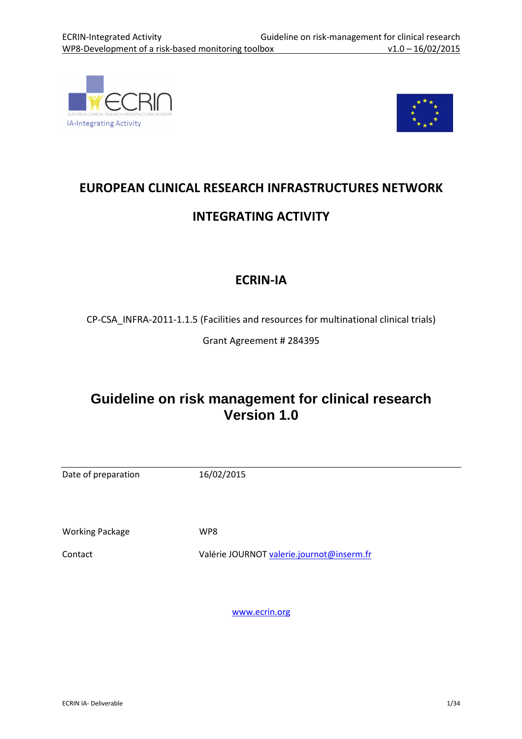



# EUROPEAN CLINICAL RESEARCH INFRASTRUCTURES NETWORK INTEGRATING ACTIVITY

## ECRIN-IA

CP-CSA\_INFRA-2011-1.1.5 (Facilities and resources for multinational clinical trials)

Grant Agreement # 284395

## **Guideline on risk management for clinical research Version 1.0**

| Date of preparation    | 16/02/2015                                |
|------------------------|-------------------------------------------|
|                        |                                           |
| <b>Working Package</b> | WP8                                       |
| Contact                | Valérie JOURNOT valerie.journot@inserm.fr |
|                        |                                           |
|                        |                                           |
|                        | www.ecrin.org                             |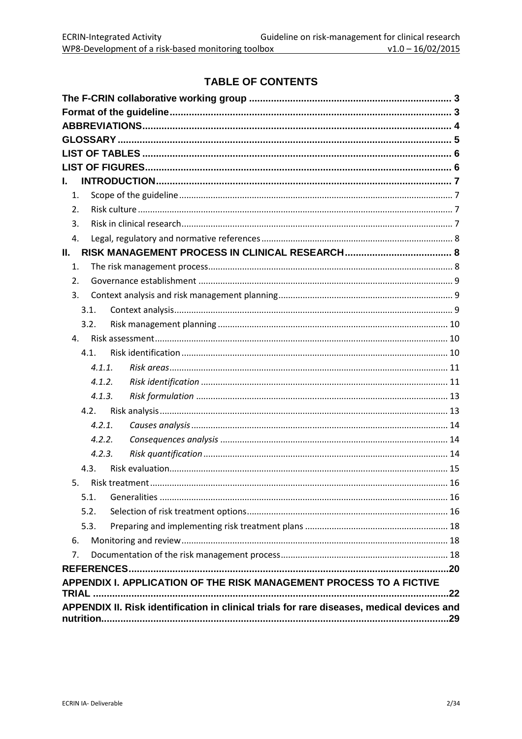### **TABLE OF CONTENTS**

| L.                                                                                         |     |
|--------------------------------------------------------------------------------------------|-----|
| 1.                                                                                         |     |
| 2.                                                                                         |     |
| 3.                                                                                         |     |
| 4.                                                                                         |     |
| Н.                                                                                         |     |
| 1.                                                                                         |     |
| 2.                                                                                         |     |
| 3.                                                                                         |     |
| 3.1.                                                                                       |     |
| 3.2.                                                                                       |     |
| 4.                                                                                         |     |
| 4.1.                                                                                       |     |
| 4.1.1.                                                                                     |     |
| 4.1.2.                                                                                     |     |
| 4.1.3.                                                                                     |     |
| 4.2.                                                                                       |     |
| 4.2.1.                                                                                     |     |
| 4.2.2.                                                                                     |     |
| 4.2.3.                                                                                     |     |
| 4.3.                                                                                       |     |
| 5.                                                                                         |     |
| 5.1.                                                                                       |     |
| 5.2.                                                                                       |     |
| 5.3.                                                                                       |     |
| 6.                                                                                         |     |
| 7.                                                                                         |     |
|                                                                                            |     |
| APPENDIX I. APPLICATION OF THE RISK MANAGEMENT PROCESS TO A FICTIVE                        |     |
|                                                                                            |     |
| APPENDIX II. Risk identification in clinical trials for rare diseases, medical devices and |     |
|                                                                                            | .29 |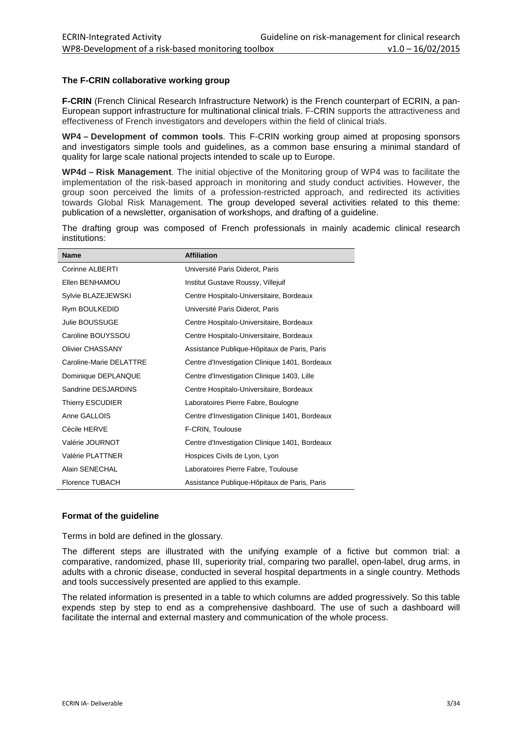#### **The F-CRIN collaborative working group**

**F-CRIN** (French Clinical Research Infrastructure Network) is the French counterpart of ECRIN, a pan-European support infrastructure for multinational clinical trials. F-CRIN supports the attractiveness and effectiveness of French investigators and developers within the field of clinical trials.

**WP4 – Development of common tools**. This F-CRIN working group aimed at proposing sponsors and investigators simple tools and guidelines, as a common base ensuring a minimal standard of quality for large scale national projects intended to scale up to Europe.

**WP4d – Risk Management**. The initial objective of the Monitoring group of WP4 was to facilitate the implementation of the risk-based approach in monitoring and study conduct activities. However, the group soon perceived the limits of a profession-restricted approach, and redirected its activities towards Global Risk Management. The group developed several activities related to this theme: publication of a newsletter, organisation of workshops, and drafting of a guideline.

The drafting group was composed of French professionals in mainly academic clinical research institutions:

| <b>Name</b>             | <b>Affiliation</b>                             |
|-------------------------|------------------------------------------------|
| Corinne ALBERTI         | Université Paris Diderot, Paris                |
| Ellen BENHAMOU          | Institut Gustave Roussy, Villejuif             |
| Sylvie BLAZEJEWSKI      | Centre Hospitalo-Universitaire, Bordeaux       |
| Rym BOULKEDID           | Université Paris Diderot, Paris                |
| Julie BOUSSUGE          | Centre Hospitalo-Universitaire, Bordeaux       |
| Caroline BOUYSSOU       | Centre Hospitalo-Universitaire, Bordeaux       |
| <b>Olivier CHASSANY</b> | Assistance Publique-Hôpitaux de Paris, Paris   |
| Caroline-Marie DELATTRE | Centre d'Investigation Clinique 1401, Bordeaux |
| Dominique DEPLANQUE     | Centre d'Investigation Clinique 1403, Lille    |
| Sandrine DESJARDINS     | Centre Hospitalo-Universitaire, Bordeaux       |
| <b>Thierry ESCUDIER</b> | Laboratoires Pierre Fabre, Boulogne            |
| Anne GALLOIS            | Centre d'Investigation Clinique 1401, Bordeaux |
| Cécile HERVE            | F-CRIN, Toulouse                               |
| Valérie JOURNOT         | Centre d'Investigation Clinique 1401, Bordeaux |
| Valérie PLATTNER        | Hospices Civils de Lyon, Lyon                  |
| Alain SENECHAL          | Laboratoires Pierre Fabre, Toulouse            |
| <b>Florence TUBACH</b>  | Assistance Publique-Hôpitaux de Paris, Paris   |

#### **Format of the guideline**

Terms in bold are defined in the glossary.

The different steps are illustrated with the unifying example of a fictive but common trial: a comparative, randomized, phase III, superiority trial, comparing two parallel, open-label, drug arms, in adults with a chronic disease, conducted in several hospital departments in a single country. Methods and tools successively presented are applied to this example.

The related information is presented in a table to which columns are added progressively. So this table expends step by step to end as a comprehensive dashboard. The use of such a dashboard will facilitate the internal and external mastery and communication of the whole process.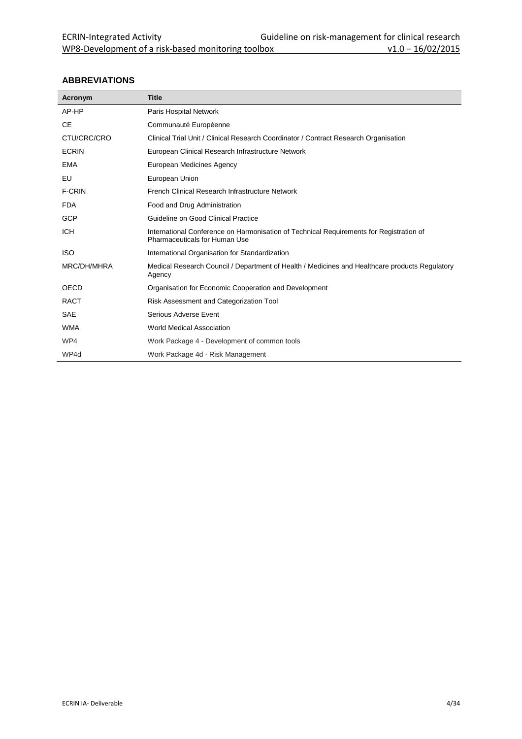#### **ABBREVIATIONS**

| Acronym       | <b>Title</b>                                                                                                             |
|---------------|--------------------------------------------------------------------------------------------------------------------------|
| AP-HP         | Paris Hospital Network                                                                                                   |
| <b>CE</b>     | Communauté Européenne                                                                                                    |
| CTU/CRC/CRO   | Clinical Trial Unit / Clinical Research Coordinator / Contract Research Organisation                                     |
| <b>ECRIN</b>  | European Clinical Research Infrastructure Network                                                                        |
| <b>EMA</b>    | European Medicines Agency                                                                                                |
| EU            | European Union                                                                                                           |
| <b>F-CRIN</b> | French Clinical Research Infrastructure Network                                                                          |
| <b>FDA</b>    | Food and Drug Administration                                                                                             |
| GCP           | Guideline on Good Clinical Practice                                                                                      |
| <b>ICH</b>    | International Conference on Harmonisation of Technical Requirements for Registration of<br>Pharmaceuticals for Human Use |
| <b>ISO</b>    | International Organisation for Standardization                                                                           |
| MRC/DH/MHRA   | Medical Research Council / Department of Health / Medicines and Healthcare products Regulatory<br>Agency                 |
| OECD          | Organisation for Economic Cooperation and Development                                                                    |
| <b>RACT</b>   | Risk Assessment and Categorization Tool                                                                                  |
| <b>SAE</b>    | Serious Adverse Event                                                                                                    |
| <b>WMA</b>    | World Medical Association                                                                                                |
| WP4           | Work Package 4 - Development of common tools                                                                             |
| WP4d          | Work Package 4d - Risk Management                                                                                        |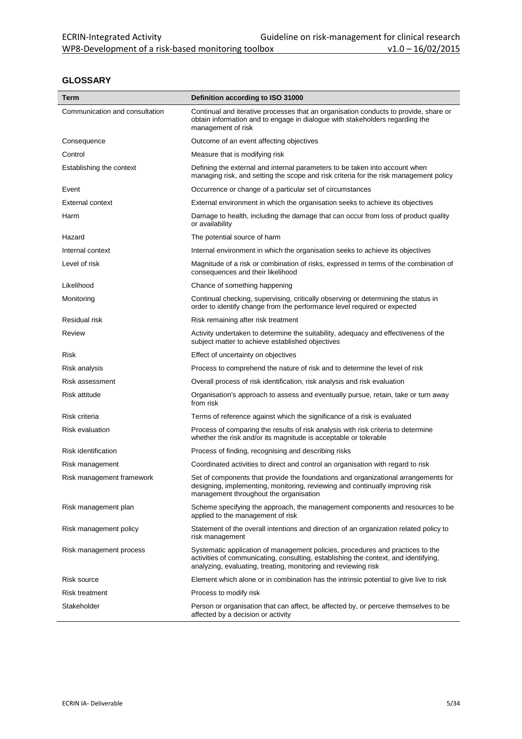#### **GLOSSARY**

| Term                           | Definition according to ISO 31000                                                                                                                                                                                                       |  |
|--------------------------------|-----------------------------------------------------------------------------------------------------------------------------------------------------------------------------------------------------------------------------------------|--|
| Communication and consultation | Continual and iterative processes that an organisation conducts to provide, share or<br>obtain information and to engage in dialogue with stakeholders regarding the<br>management of risk                                              |  |
| Consequence                    | Outcome of an event affecting objectives                                                                                                                                                                                                |  |
| Control                        | Measure that is modifying risk                                                                                                                                                                                                          |  |
| Establishing the context       | Defining the external and internal parameters to be taken into account when<br>managing risk, and setting the scope and risk criteria for the risk management policy                                                                    |  |
| Event                          | Occurrence or change of a particular set of circumstances                                                                                                                                                                               |  |
| <b>External context</b>        | External environment in which the organisation seeks to achieve its objectives                                                                                                                                                          |  |
| Harm                           | Damage to health, including the damage that can occur from loss of product quality<br>or availability                                                                                                                                   |  |
| Hazard                         | The potential source of harm                                                                                                                                                                                                            |  |
| Internal context               | Internal environment in which the organisation seeks to achieve its objectives                                                                                                                                                          |  |
| Level of risk                  | Magnitude of a risk or combination of risks, expressed in terms of the combination of<br>consequences and their likelihood                                                                                                              |  |
| Likelihood                     | Chance of something happening                                                                                                                                                                                                           |  |
| Monitoring                     | Continual checking, supervising, critically observing or determining the status in<br>order to identify change from the performance level required or expected                                                                          |  |
| Residual risk                  | Risk remaining after risk treatment                                                                                                                                                                                                     |  |
| Review                         | Activity undertaken to determine the suitability, adequacy and effectiveness of the<br>subject matter to achieve established objectives                                                                                                 |  |
| Risk                           | Effect of uncertainty on objectives                                                                                                                                                                                                     |  |
| Risk analysis                  | Process to comprehend the nature of risk and to determine the level of risk                                                                                                                                                             |  |
| Risk assessment                | Overall process of risk identification, risk analysis and risk evaluation                                                                                                                                                               |  |
| Risk attitude                  | Organisation's approach to assess and eventually pursue, retain, take or turn away<br>from risk                                                                                                                                         |  |
| Risk criteria                  | Terms of reference against which the significance of a risk is evaluated                                                                                                                                                                |  |
| <b>Risk evaluation</b>         | Process of comparing the results of risk analysis with risk criteria to determine<br>whether the risk and/or its magnitude is acceptable or tolerable                                                                                   |  |
| <b>Risk identification</b>     | Process of finding, recognising and describing risks                                                                                                                                                                                    |  |
| Risk management                | Coordinated activities to direct and control an organisation with regard to risk                                                                                                                                                        |  |
| Risk management framework      | Set of components that provide the foundations and organizational arrangements for<br>designing, implementing, monitoring, reviewing and continually improving risk<br>management throughout the organisation                           |  |
| Risk management plan           | Scheme specifying the approach, the management components and resources to be<br>applied to the management of risk                                                                                                                      |  |
| Risk management policy         | Statement of the overall intentions and direction of an organization related policy to<br>risk management                                                                                                                               |  |
| Risk management process        | Systematic application of management policies, procedures and practices to the<br>activities of communicating, consulting, establishing the context, and identifying,<br>analyzing, evaluating, treating, monitoring and reviewing risk |  |
| Risk source                    | Element which alone or in combination has the intrinsic potential to give live to risk                                                                                                                                                  |  |
| Risk treatment                 | Process to modify risk                                                                                                                                                                                                                  |  |
| Stakeholder                    | Person or organisation that can affect, be affected by, or perceive themselves to be<br>affected by a decision or activity                                                                                                              |  |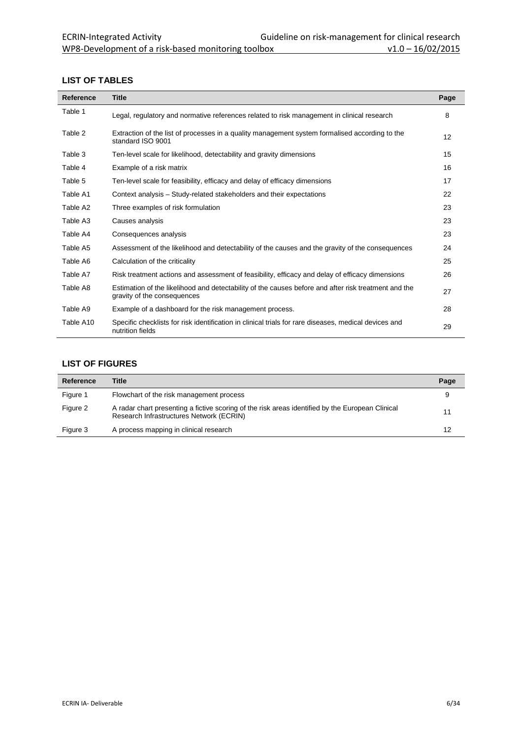#### **LIST OF TABLES**

| <b>Reference</b> | <b>Title</b>                                                                                                                        | Page |
|------------------|-------------------------------------------------------------------------------------------------------------------------------------|------|
| Table 1          | Legal, regulatory and normative references related to risk management in clinical research                                          | 8    |
| Table 2          | Extraction of the list of processes in a quality management system formalised according to the<br>standard ISO 9001                 | 12   |
| Table 3          | Ten-level scale for likelihood, detectability and gravity dimensions                                                                | 15   |
| Table 4          | Example of a risk matrix                                                                                                            | 16   |
| Table 5          | Ten-level scale for feasibility, efficacy and delay of efficacy dimensions                                                          | 17   |
| Table A1         | Context analysis – Study-related stakeholders and their expectations                                                                | 22   |
| Table A2         | Three examples of risk formulation                                                                                                  | 23   |
| Table A3         | Causes analysis                                                                                                                     | 23   |
| Table A4         | Consequences analysis                                                                                                               | 23   |
| Table A5         | Assessment of the likelihood and detectability of the causes and the gravity of the consequences                                    | 24   |
| Table A6         | Calculation of the criticality                                                                                                      | 25   |
| Table A7         | Risk treatment actions and assessment of feasibility, efficacy and delay of efficacy dimensions                                     | 26   |
| Table A8         | Estimation of the likelihood and detectability of the causes before and after risk treatment and the<br>gravity of the consequences | 27   |
| Table A9         | Example of a dashboard for the risk management process.                                                                             | 28   |
| Table A10        | Specific checklists for risk identification in clinical trials for rare diseases, medical devices and<br>nutrition fields           | 29   |

#### **LIST OF FIGURES**

| Reference | <b>Title</b>                                                                                                                                 | Page |
|-----------|----------------------------------------------------------------------------------------------------------------------------------------------|------|
| Figure 1  | Flowchart of the risk management process                                                                                                     |      |
| Figure 2  | A radar chart presenting a fictive scoring of the risk areas identified by the European Clinical<br>Research Infrastructures Network (ECRIN) | 11   |
| Figure 3  | A process mapping in clinical research                                                                                                       | 12   |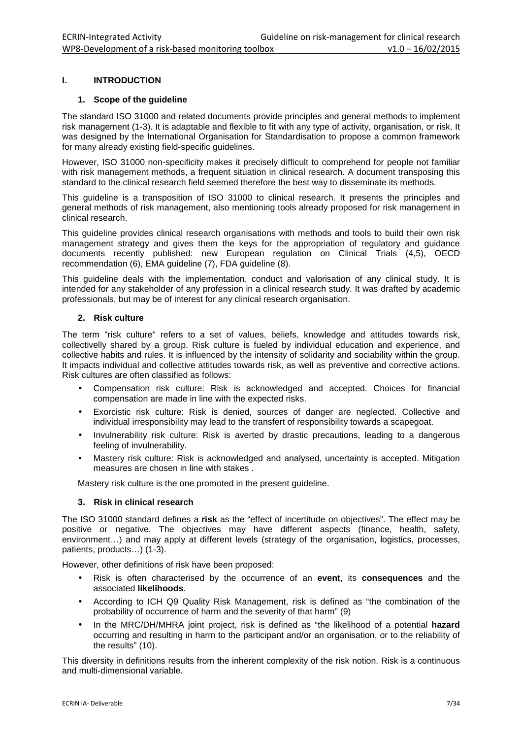#### **I. INTRODUCTION**

#### **1. Scope of the guideline**

The standard ISO 31000 and related documents provide principles and general methods to implement risk management (1-3). It is adaptable and flexible to fit with any type of activity, organisation, or risk. It was designed by the International Organisation for Standardisation to propose a common framework for many already existing field-specific guidelines.

However, ISO 31000 non-specificity makes it precisely difficult to comprehend for people not familiar with risk management methods, a frequent situation in clinical research. A document transposing this standard to the clinical research field seemed therefore the best way to disseminate its methods.

This guideline is a transposition of ISO 31000 to clinical research. It presents the principles and general methods of risk management, also mentioning tools already proposed for risk management in clinical research.

This guideline provides clinical research organisations with methods and tools to build their own risk management strategy and gives them the keys for the appropriation of regulatory and guidance documents recently published: new European regulation on Clinical Trials (4,5), OECD recommendation (6), EMA guideline (7), FDA guideline (8).

This guideline deals with the implementation, conduct and valorisation of any clinical study. It is intended for any stakeholder of any profession in a clinical research study. It was drafted by academic professionals, but may be of interest for any clinical research organisation.

#### **2. Risk culture**

The term "risk culture" refers to a set of values, beliefs, knowledge and attitudes towards risk, collectivelly shared by a group. Risk culture is fueled by individual education and experience, and collective habits and rules. It is influenced by the intensity of solidarity and sociability within the group. It impacts individual and collective attitudes towards risk, as well as preventive and corrective actions. Risk cultures are often classified as follows:

- Compensation risk culture: Risk is acknowledged and accepted. Choices for financial compensation are made in line with the expected risks.
- Exorcistic risk culture: Risk is denied, sources of danger are neglected. Collective and individual irresponsibility may lead to the transfert of responsibility towards a scapegoat.
- Invulnerability risk culture: Risk is averted by drastic precautions, leading to a dangerous feeling of invulnerability.
- Mastery risk culture: Risk is acknowledged and analysed, uncertainty is accepted. Mitigation measures are chosen in line with stakes .

Mastery risk culture is the one promoted in the present quideline.

#### **3. Risk in clinical research**

The ISO 31000 standard defines a **risk** as the "effect of incertitude on objectives". The effect may be positive or negative. The objectives may have different aspects (finance, health, safety, environment…) and may apply at different levels (strategy of the organisation, logistics, processes, patients, products…) (1-3).

However, other definitions of risk have been proposed:

- Risk is often characterised by the occurrence of an **event**, its **consequences** and the associated **likelihoods**.
- According to ICH Q9 Quality Risk Management, risk is defined as "the combination of the probability of occurrence of harm and the severity of that harm" (9)
- In the MRC/DH/MHRA joint project, risk is defined as "the likelihood of a potential **hazard**  occurring and resulting in harm to the participant and/or an organisation, or to the reliability of the results" (10).

This diversity in definitions results from the inherent complexity of the risk notion. Risk is a continuous and multi-dimensional variable.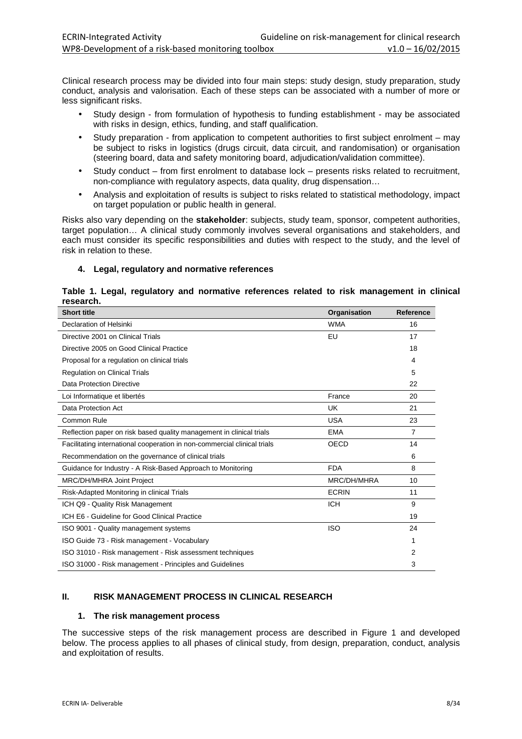Clinical research process may be divided into four main steps: study design, study preparation, study conduct, analysis and valorisation. Each of these steps can be associated with a number of more or less significant risks.

- Study design from formulation of hypothesis to funding establishment may be associated with risks in design, ethics, funding, and staff qualification.
- Study preparation from application to competent authorities to first subject enrolment may be subject to risks in logistics (drugs circuit, data circuit, and randomisation) or organisation (steering board, data and safety monitoring board, adjudication/validation committee).
- Study conduct from first enrolment to database lock presents risks related to recruitment, non-compliance with regulatory aspects, data quality, drug dispensation…
- Analysis and exploitation of results is subject to risks related to statistical methodology, impact on target population or public health in general.

Risks also vary depending on the **stakeholder**: subjects, study team, sponsor, competent authorities, target population… A clinical study commonly involves several organisations and stakeholders, and each must consider its specific responsibilities and duties with respect to the study, and the level of risk in relation to these.

#### **4. Legal, regulatory and normative references**

#### **Table 1. Legal, regulatory and normative references related to risk management in clinical research.**

| <b>Short title</b>                                                       | Organisation | <b>Reference</b> |
|--------------------------------------------------------------------------|--------------|------------------|
| Declaration of Helsinki                                                  | <b>WMA</b>   | 16               |
| Directive 2001 on Clinical Trials                                        | EU           | 17               |
| Directive 2005 on Good Clinical Practice                                 |              | 18               |
| Proposal for a regulation on clinical trials                             |              | 4                |
| <b>Regulation on Clinical Trials</b>                                     |              | 5                |
| Data Protection Directive                                                |              | 22               |
| Loi Informatique et libertés                                             | France       | 20               |
| Data Protection Act                                                      | UK           | 21               |
| Common Rule                                                              | <b>USA</b>   | 23               |
| Reflection paper on risk based quality management in clinical trials     | <b>EMA</b>   | $\overline{7}$   |
| Facilitating international cooperation in non-commercial clinical trials | <b>OECD</b>  | 14               |
| Recommendation on the governance of clinical trials                      |              | 6                |
| Guidance for Industry - A Risk-Based Approach to Monitoring              | <b>FDA</b>   | 8                |
| MRC/DH/MHRA Joint Project                                                | MRC/DH/MHRA  | 10               |
| Risk-Adapted Monitoring in clinical Trials                               | <b>ECRIN</b> | 11               |
| ICH Q9 - Quality Risk Management                                         | <b>ICH</b>   | 9                |
| ICH E6 - Guideline for Good Clinical Practice                            |              | 19               |
| ISO 9001 - Quality management systems                                    | <b>ISO</b>   | 24               |
| ISO Guide 73 - Risk management - Vocabulary                              |              | 1                |
| ISO 31010 - Risk management - Risk assessment techniques                 |              | 2                |
| ISO 31000 - Risk management - Principles and Guidelines                  |              | 3                |

#### **II. RISK MANAGEMENT PROCESS IN CLINICAL RESEARCH**

#### **1. The risk management process**

The successive steps of the risk management process are described in Figure 1 and developed below. The process applies to all phases of clinical study, from design, preparation, conduct, analysis and exploitation of results.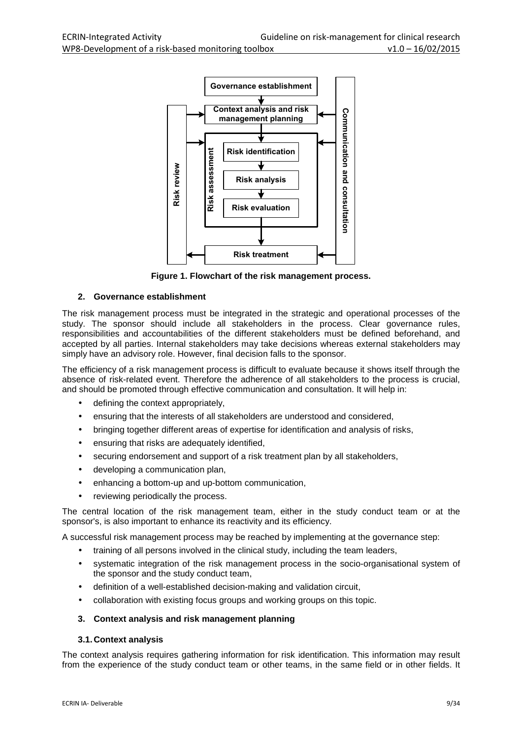

**Figure 1. Flowchart of the risk management process.**

#### **2. Governance establishment**

The risk management process must be integrated in the strategic and operational processes of the study. The sponsor should include all stakeholders in the process. Clear governance rules, responsibilities and accountabilities of the different stakeholders must be defined beforehand, and accepted by all parties. Internal stakeholders may take decisions whereas external stakeholders may simply have an advisory role. However, final decision falls to the sponsor.

The efficiency of a risk management process is difficult to evaluate because it shows itself through the absence of risk-related event. Therefore the adherence of all stakeholders to the process is crucial, and should be promoted through effective communication and consultation. It will help in:

- defining the context appropriately,
- ensuring that the interests of all stakeholders are understood and considered,
- bringing together different areas of expertise for identification and analysis of risks,
- ensuring that risks are adequately identified,
- securing endorsement and support of a risk treatment plan by all stakeholders,
- developing a communication plan,
- enhancing a bottom-up and up-bottom communication,
- reviewing periodically the process.

The central location of the risk management team, either in the study conduct team or at the sponsor's, is also important to enhance its reactivity and its efficiency.

A successful risk management process may be reached by implementing at the governance step:

- training of all persons involved in the clinical study, including the team leaders,
- systematic integration of the risk management process in the socio-organisational system of the sponsor and the study conduct team,
- definition of a well-established decision-making and validation circuit,
- collaboration with existing focus groups and working groups on this topic.

#### **3. Context analysis and risk management planning**

#### **3.1. Context analysis**

The context analysis requires gathering information for risk identification. This information may result from the experience of the study conduct team or other teams, in the same field or in other fields. It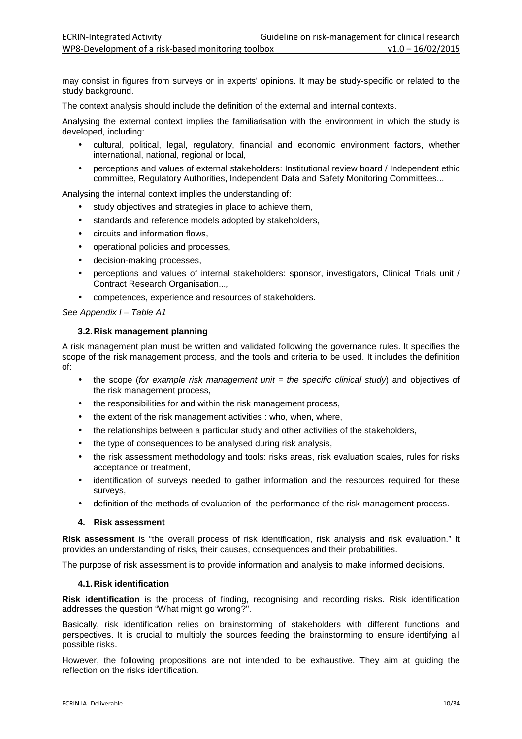may consist in figures from surveys or in experts' opinions. It may be study-specific or related to the study background.

The context analysis should include the definition of the external and internal contexts.

Analysing the external context implies the familiarisation with the environment in which the study is developed, including:

- cultural, political, legal, regulatory, financial and economic environment factors, whether international, national, regional or local,
- perceptions and values of external stakeholders: Institutional review board / Independent ethic committee, Regulatory Authorities, Independent Data and Safety Monitoring Committees...

Analysing the internal context implies the understanding of:

- study objectives and strategies in place to achieve them.
- standards and reference models adopted by stakeholders,
- circuits and information flows,
- operational policies and processes,
- decision-making processes,
- perceptions and values of internal stakeholders: sponsor, investigators, Clinical Trials unit / Contract Research Organisation...,
- competences, experience and resources of stakeholders.

#### See Appendix I – Table A1

#### **3.2. Risk management planning**

A risk management plan must be written and validated following the governance rules. It specifies the scope of the risk management process, and the tools and criteria to be used. It includes the definition of:

- the scope (for example risk management unit  $=$  the specific clinical study) and objectives of the risk management process,
- the responsibilities for and within the risk management process,
- the extent of the risk management activities : who, when, where,
- the relationships between a particular study and other activities of the stakeholders,
- the type of consequences to be analysed during risk analysis,
- the risk assessment methodology and tools: risks areas, risk evaluation scales, rules for risks acceptance or treatment,
- identification of surveys needed to gather information and the resources required for these surveys,
- definition of the methods of evaluation of the performance of the risk management process.

#### **4. Risk assessment**

**Risk assessment** is "the overall process of risk identification, risk analysis and risk evaluation." It provides an understanding of risks, their causes, consequences and their probabilities.

The purpose of risk assessment is to provide information and analysis to make informed decisions.

#### **4.1. Risk identification**

**Risk identification** is the process of finding, recognising and recording risks. Risk identification addresses the question "What might go wrong?".

Basically, risk identification relies on brainstorming of stakeholders with different functions and perspectives. It is crucial to multiply the sources feeding the brainstorming to ensure identifying all possible risks.

However, the following propositions are not intended to be exhaustive. They aim at guiding the reflection on the risks identification.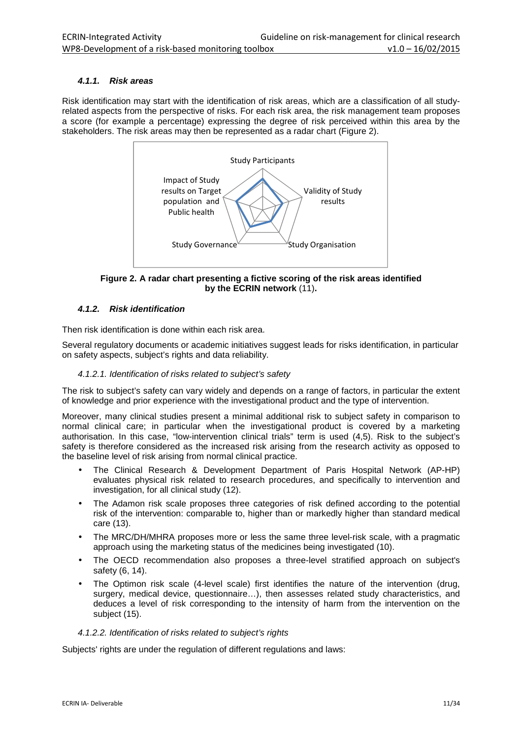#### **4.1.1. Risk areas**

Risk identification may start with the identification of risk areas, which are a classification of all studyrelated aspects from the perspective of risks. For each risk area, the risk management team proposes a score (for example a percentage) expressing the degree of risk perceived within this area by the stakeholders. The risk areas may then be represented as a radar chart (Figure 2).



**Figure 2. A radar chart presenting a fictive scoring of the risk areas identified by the ECRIN network** (11)**.**

#### **4.1.2. Risk identification**

Then risk identification is done within each risk area.

Several regulatory documents or academic initiatives suggest leads for risks identification, in particular on safety aspects, subject's rights and data reliability.

#### 4.1.2.1. Identification of risks related to subject's safety

The risk to subject's safety can vary widely and depends on a range of factors, in particular the extent of knowledge and prior experience with the investigational product and the type of intervention.

Moreover, many clinical studies present a minimal additional risk to subject safety in comparison to normal clinical care; in particular when the investigational product is covered by a marketing authorisation. In this case, "low-intervention clinical trials" term is used (4,5). Risk to the subject's safety is therefore considered as the increased risk arising from the research activity as opposed to the baseline level of risk arising from normal clinical practice.

- The Clinical Research & Development Department of Paris Hospital Network (AP-HP) evaluates physical risk related to research procedures, and specifically to intervention and investigation, for all clinical study (12).
- The Adamon risk scale proposes three categories of risk defined according to the potential risk of the intervention: comparable to, higher than or markedly higher than standard medical care (13).
- The MRC/DH/MHRA proposes more or less the same three level-risk scale, with a pragmatic approach using the marketing status of the medicines being investigated (10).
- The OECD recommendation also proposes a three-level stratified approach on subject's safety (6, 14).
- The Optimon risk scale (4-level scale) first identifies the nature of the intervention (drug, surgery, medical device, questionnaire…), then assesses related study characteristics, and deduces a level of risk corresponding to the intensity of harm from the intervention on the subject (15).

#### 4.1.2.2. Identification of risks related to subject's rights

Subjects' rights are under the regulation of different regulations and laws: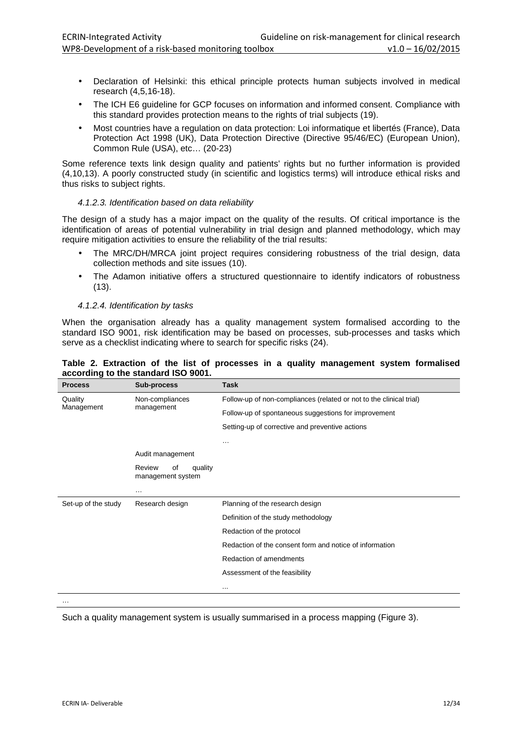- Declaration of Helsinki: this ethical principle protects human subjects involved in medical research (4,5,16-18).
- The ICH E6 guideline for GCP focuses on information and informed consent. Compliance with this standard provides protection means to the rights of trial subjects (19).
- Most countries have a regulation on data protection: Loi informatique et libertés (France), Data Protection Act 1998 (UK), Data Protection Directive (Directive 95/46/EC) (European Union), Common Rule (USA), etc… (20-23)

Some reference texts link design quality and patients' rights but no further information is provided (4,10,13). A poorly constructed study (in scientific and logistics terms) will introduce ethical risks and thus risks to subject rights.

#### 4.1.2.3. Identification based on data reliability

The design of a study has a major impact on the quality of the results. Of critical importance is the identification of areas of potential vulnerability in trial design and planned methodology, which may require mitigation activities to ensure the reliability of the trial results:

- The MRC/DH/MRCA joint project requires considering robustness of the trial design, data collection methods and site issues (10).
- The Adamon initiative offers a structured questionnaire to identify indicators of robustness (13).

#### 4.1.2.4. Identification by tasks

When the organisation already has a quality management system formalised according to the standard ISO 9001, risk identification may be based on processes, sub-processes and tasks which serve as a checklist indicating where to search for specific risks (24).

#### **Table 2. Extraction of the list of processes in a quality management system formalised according to the standard ISO 9001.**

| <b>Process</b>      | Sub-process                                  | Task                                                                |
|---------------------|----------------------------------------------|---------------------------------------------------------------------|
| Quality             | Non-compliances<br>management                | Follow-up of non-compliances (related or not to the clinical trial) |
| Management          |                                              | Follow-up of spontaneous suggestions for improvement                |
|                     |                                              | Setting-up of corrective and preventive actions                     |
|                     |                                              | $\cdots$                                                            |
|                     | Audit management                             |                                                                     |
|                     | Review<br>of<br>quality<br>management system |                                                                     |
|                     | $\cdots$                                     |                                                                     |
| Set-up of the study | Research design                              | Planning of the research design                                     |
|                     |                                              | Definition of the study methodology                                 |
|                     |                                              | Redaction of the protocol                                           |
|                     |                                              | Redaction of the consent form and notice of information             |
|                     |                                              | Redaction of amendments                                             |
|                     |                                              | Assessment of the feasibility                                       |
|                     |                                              | $\cdots$                                                            |

…

Such a quality management system is usually summarised in a process mapping (Figure 3).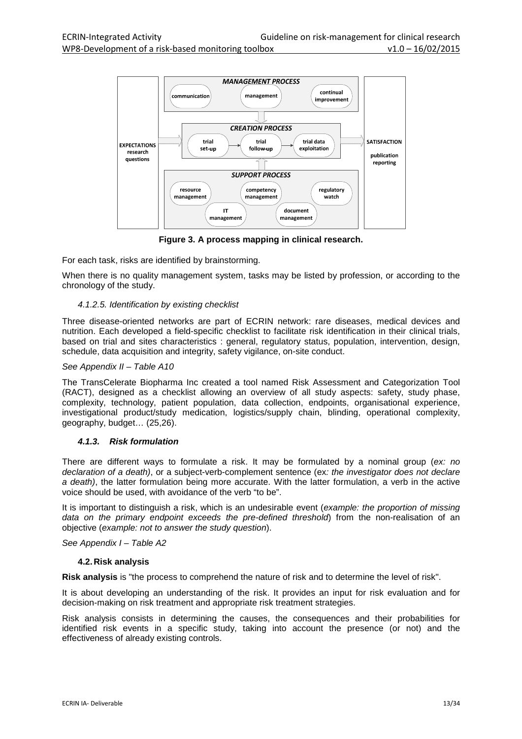

**Figure 3. A process mapping in clinical research.** 

For each task, risks are identified by brainstorming.

When there is no quality management system, tasks may be listed by profession, or according to the chronology of the study.

#### 4.1.2.5. Identification by existing checklist

Three disease-oriented networks are part of ECRIN network: rare diseases, medical devices and nutrition. Each developed a field-specific checklist to facilitate risk identification in their clinical trials, based on trial and sites characteristics : general, regulatory status, population, intervention, design, schedule, data acquisition and integrity, safety vigilance, on-site conduct.

#### See Appendix II – Table A10

The TransCelerate Biopharma Inc created a tool named Risk Assessment and Categorization Tool (RACT), designed as a checklist allowing an overview of all study aspects: safety, study phase, complexity, technology, patient population, data collection, endpoints, organisational experience, investigational product/study medication, logistics/supply chain, blinding, operational complexity, geography, budget… (25,26).

#### **4.1.3. Risk formulation**

There are different ways to formulate a risk. It may be formulated by a nominal group ( $ex: no$ declaration of a death), or a subject-verb-complement sentence (ex: the investigator does not declare a death), the latter formulation being more accurate. With the latter formulation, a verb in the active voice should be used, with avoidance of the verb "to be".

It is important to distinguish a risk, which is an undesirable event (example: the proportion of missing data on the primary endpoint exceeds the pre-defined threshold) from the non-realisation of an objective (example: not to answer the study question).

See Appendix I – Table A2

#### **4.2. Risk analysis**

**Risk analysis** is "the process to comprehend the nature of risk and to determine the level of risk".

It is about developing an understanding of the risk. It provides an input for risk evaluation and for decision-making on risk treatment and appropriate risk treatment strategies.

Risk analysis consists in determining the causes, the consequences and their probabilities for identified risk events in a specific study, taking into account the presence (or not) and the effectiveness of already existing controls.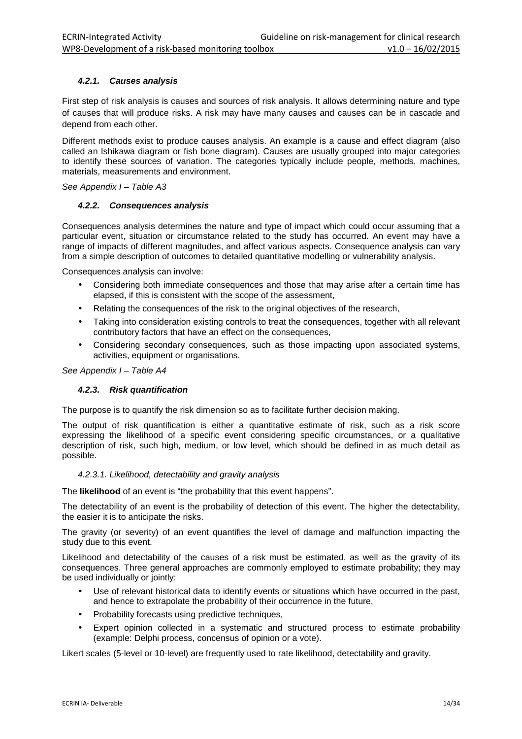#### **4.2.1. Causes analysis**

First step of risk analysis is causes and sources of risk analysis. It allows determining nature and type of causes that will produce risks. A risk may have many causes and causes can be in cascade and depend from each other.

Different methods exist to produce causes analysis. An example is a cause and effect diagram (also called an Ishikawa diagram or fish bone diagram). Causes are usually grouped into major categories to identify these sources of variation. The categories typically include people, methods, machines, materials, measurements and environment.

See Appendix I - Table A3

#### **4.2.2. Consequences analysis**

Consequences analysis determines the nature and type of impact which could occur assuming that a particular event, situation or circumstance related to the study has occurred. An event may have a range of impacts of different magnitudes, and affect various aspects. Consequence analysis can vary from a simple description of outcomes to detailed quantitative modelling or vulnerability analysis.

Consequences analysis can involve:

- Considering both immediate consequences and those that may arise after a certain time has elapsed, if this is consistent with the scope of the assessment,
- Relating the consequences of the risk to the original objectives of the research,
- Taking into consideration existing controls to treat the consequences, together with all relevant contributory factors that have an effect on the consequences,
- Considering secondary consequences, such as those impacting upon associated systems, activities, equipment or organisations.

See Appendix I - Table A4

#### **4.2.3. Risk quantification**

The purpose is to quantify the risk dimension so as to facilitate further decision making.

The output of risk quantification is either a quantitative estimate of risk, such as a risk score expressing the likelihood of a specific event considering specific circumstances, or a qualitative description of risk, such high, medium, or low level, which should be defined in as much detail as possible.

#### 4.2.3.1. Likelihood, detectability and gravity analysis

The **likelihood** of an event is "the probability that this event happens".

The detectability of an event is the probability of detection of this event. The higher the detectability, the easier it is to anticipate the risks.

The gravity (or severity) of an event quantifies the level of damage and malfunction impacting the study due to this event.

Likelihood and detectability of the causes of a risk must be estimated, as well as the gravity of its consequences. Three general approaches are commonly employed to estimate probability; they may be used individually or jointly:

- Use of relevant historical data to identify events or situations which have occurred in the past, and hence to extrapolate the probability of their occurrence in the future,
- Probability forecasts using predictive techniques,
- Expert opinion collected in a systematic and structured process to estimate probability (example: Delphi process, concensus of opinion or a vote).

Likert scales (5-level or 10-level) are frequently used to rate likelihood, detectability and gravity.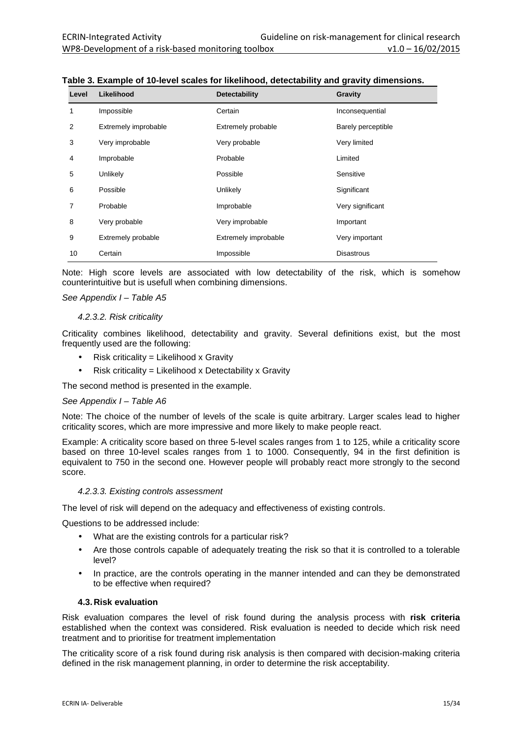| Level | Likelihood           | Detectability        | Gravity            |
|-------|----------------------|----------------------|--------------------|
| 1     | Impossible           | Certain              | Inconsequential    |
| 2     | Extremely improbable | Extremely probable   | Barely perceptible |
| 3     | Very improbable      | Very probable        | Very limited       |
| 4     | Improbable           | Probable             | Limited            |
| 5     | Unlikely             | Possible             | Sensitive          |
| 6     | Possible             | Unlikely             | Significant        |
| 7     | Probable             | Improbable           | Very significant   |
| 8     | Very probable        | Very improbable      | Important          |
| 9     | Extremely probable   | Extremely improbable | Very important     |
| 10    | Certain              | Impossible           | <b>Disastrous</b>  |

**Table 3. Example of 10-level scales for likelihood, detectability and gravity dimensions.** 

Note: High score levels are associated with low detectability of the risk, which is somehow counterintuitive but is usefull when combining dimensions.

#### See Appendix I - Table A5

#### 4.2.3.2. Risk criticality

Criticality combines likelihood, detectability and gravity. Several definitions exist, but the most frequently used are the following:

- Risk criticality = Likelihood x Gravity
- Risk criticality = Likelihood x Detectability x Gravity

The second method is presented in the example.

#### See Appendix I – Table A6

Note: The choice of the number of levels of the scale is quite arbitrary. Larger scales lead to higher criticality scores, which are more impressive and more likely to make people react.

Example: A criticality score based on three 5-level scales ranges from 1 to 125, while a criticality score based on three 10-level scales ranges from 1 to 1000. Consequently, 94 in the first definition is equivalent to 750 in the second one. However people will probably react more strongly to the second score.

#### 4.2.3.3. Existing controls assessment

The level of risk will depend on the adequacy and effectiveness of existing controls.

Questions to be addressed include:

- What are the existing controls for a particular risk?
- Are those controls capable of adequately treating the risk so that it is controlled to a tolerable level?
- In practice, are the controls operating in the manner intended and can they be demonstrated to be effective when required?

#### **4.3. Risk evaluation**

Risk evaluation compares the level of risk found during the analysis process with **risk criteria** established when the context was considered. Risk evaluation is needed to decide which risk need treatment and to prioritise for treatment implementation

The criticality score of a risk found during risk analysis is then compared with decision-making criteria defined in the risk management planning, in order to determine the risk acceptability.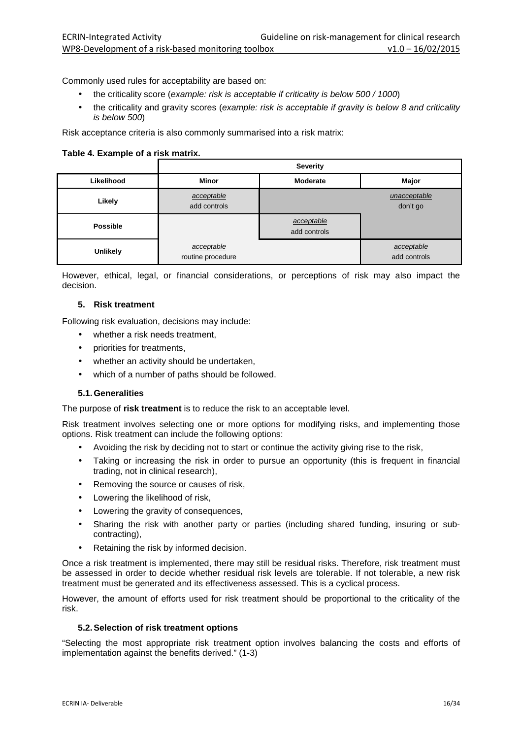Commonly used rules for acceptability are based on:

- the criticality score (example: risk is acceptable if criticality is below 500 / 1000)
- the criticality and gravity scores (example: risk is acceptable if gravity is below 8 and criticality is below 500)

Risk acceptance criteria is also commonly summarised into a risk matrix:

#### **Table 4. Example of a risk matrix.**

|                 | <b>Severity</b>                 |                            |                            |
|-----------------|---------------------------------|----------------------------|----------------------------|
| Likelihood      | <b>Minor</b>                    | <b>Moderate</b>            | Major                      |
| Likely          | acceptable<br>add controls      | unacceptable<br>don't go   |                            |
| <b>Possible</b> |                                 | acceptable<br>add controls |                            |
| Unlikely        | acceptable<br>routine procedure |                            | acceptable<br>add controls |

However, ethical, legal, or financial considerations, or perceptions of risk may also impact the decision.

#### **5. Risk treatment**

Following risk evaluation, decisions may include:

- whether a risk needs treatment.
- priorities for treatments,
- whether an activity should be undertaken,
- which of a number of paths should be followed.

#### **5.1. Generalities**

The purpose of **risk treatment** is to reduce the risk to an acceptable level.

Risk treatment involves selecting one or more options for modifying risks, and implementing those options. Risk treatment can include the following options:

- Avoiding the risk by deciding not to start or continue the activity giving rise to the risk,
- Taking or increasing the risk in order to pursue an opportunity (this is frequent in financial trading, not in clinical research),
- Removing the source or causes of risk,
- Lowering the likelihood of risk,
- Lowering the gravity of consequences,
- Sharing the risk with another party or parties (including shared funding, insuring or subcontracting),
- Retaining the risk by informed decision.

Once a risk treatment is implemented, there may still be residual risks. Therefore, risk treatment must be assessed in order to decide whether residual risk levels are tolerable. If not tolerable, a new risk treatment must be generated and its effectiveness assessed. This is a cyclical process.

However, the amount of efforts used for risk treatment should be proportional to the criticality of the risk.

#### **5.2. Selection of risk treatment options**

"Selecting the most appropriate risk treatment option involves balancing the costs and efforts of implementation against the benefits derived." (1-3)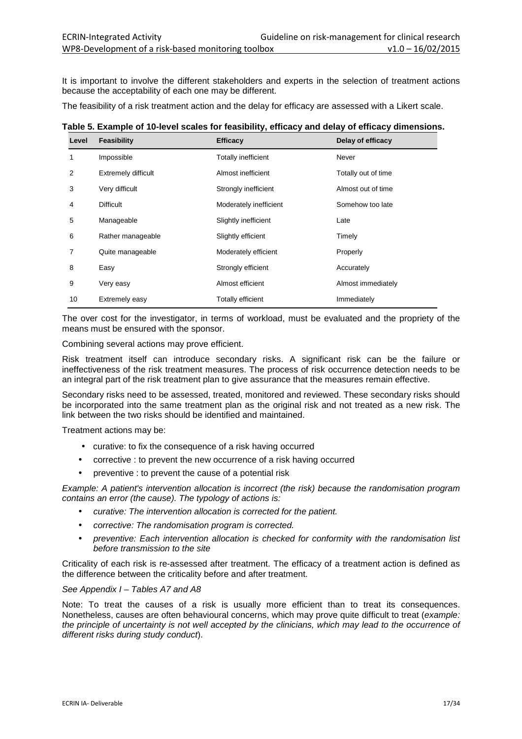It is important to involve the different stakeholders and experts in the selection of treatment actions because the acceptability of each one may be different.

The feasibility of a risk treatment action and the delay for efficacy are assessed with a Likert scale.

| Table 5. Example of 10-level scales for feasibility, efficacy and delay of efficacy dimensions. |  |
|-------------------------------------------------------------------------------------------------|--|
|                                                                                                 |  |

| Level | Feasibility                | <b>Efficacy</b>            | Delay of efficacy   |
|-------|----------------------------|----------------------------|---------------------|
| 1     | Impossible                 | <b>Totally inefficient</b> | Never               |
| 2     | <b>Extremely difficult</b> | Almost inefficient         | Totally out of time |
| 3     | Very difficult             | Strongly inefficient       | Almost out of time  |
| 4     | <b>Difficult</b>           | Moderately inefficient     | Somehow too late    |
| 5     | Manageable                 | Slightly inefficient       | Late                |
| 6     | Rather manageable          | Slightly efficient         | Timely              |
| 7     | Quite manageable           | Moderately efficient       | Properly            |
| 8     | Easy                       | Strongly efficient         | Accurately          |
| 9     | Very easy                  | Almost efficient           | Almost immediately  |
| 10    | Extremely easy             | <b>Totally efficient</b>   | Immediately         |

The over cost for the investigator, in terms of workload, must be evaluated and the propriety of the means must be ensured with the sponsor.

Combining several actions may prove efficient.

Risk treatment itself can introduce secondary risks. A significant risk can be the failure or ineffectiveness of the risk treatment measures. The process of risk occurrence detection needs to be an integral part of the risk treatment plan to give assurance that the measures remain effective.

Secondary risks need to be assessed, treated, monitored and reviewed. These secondary risks should be incorporated into the same treatment plan as the original risk and not treated as a new risk. The link between the two risks should be identified and maintained.

Treatment actions may be:

- curative: to fix the consequence of a risk having occurred
- corrective : to prevent the new occurrence of a risk having occurred
- preventive : to prevent the cause of a potential risk

Example: A patient's intervention allocation is incorrect (the risk) because the randomisation program contains an error (the cause). The typology of actions is:

- curative: The intervention allocation is corrected for the patient.
- corrective: The randomisation program is corrected.
- preventive: Each intervention allocation is checked for conformity with the randomisation list before transmission to the site

Criticality of each risk is re-assessed after treatment. The efficacy of a treatment action is defined as the difference between the criticality before and after treatment.

#### See Appendix I - Tables A7 and A8

Note: To treat the causes of a risk is usually more efficient than to treat its consequences. Nonetheless, causes are often behavioural concerns, which may prove quite difficult to treat (example: the principle of uncertainty is not well accepted by the clinicians, which may lead to the occurrence of different risks during study conduct).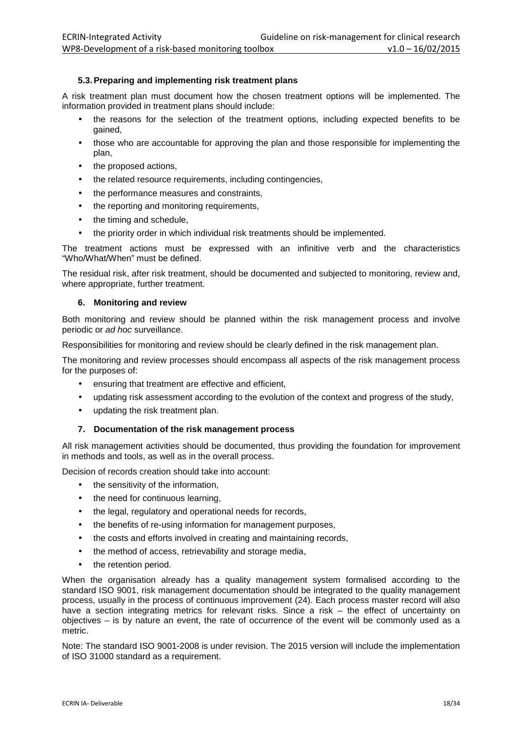#### **5.3. Preparing and implementing risk treatment plans**

A risk treatment plan must document how the chosen treatment options will be implemented. The information provided in treatment plans should include:

- the reasons for the selection of the treatment options, including expected benefits to be gained,
- those who are accountable for approving the plan and those responsible for implementing the plan,
- the proposed actions,
- the related resource requirements, including contingencies,
- the performance measures and constraints,
- the reporting and monitoring requirements,
- the timing and schedule,
- the priority order in which individual risk treatments should be implemented.

The treatment actions must be expressed with an infinitive verb and the characteristics "Who/What/When" must be defined.

The residual risk, after risk treatment, should be documented and subjected to monitoring, review and, where appropriate, further treatment.

#### **6. Monitoring and review**

Both monitoring and review should be planned within the risk management process and involve periodic or ad hoc surveillance.

Responsibilities for monitoring and review should be clearly defined in the risk management plan.

The monitoring and review processes should encompass all aspects of the risk management process for the purposes of:

- ensuring that treatment are effective and efficient,
- updating risk assessment according to the evolution of the context and progress of the study,
- updating the risk treatment plan.

#### **7. Documentation of the risk management process**

All risk management activities should be documented, thus providing the foundation for improvement in methods and tools, as well as in the overall process.

Decision of records creation should take into account:

- the sensitivity of the information,
- the need for continuous learning,
- the legal, regulatory and operational needs for records,
- the benefits of re-using information for management purposes.
- the costs and efforts involved in creating and maintaining records,
- the method of access, retrievability and storage media,
- the retention period.

When the organisation already has a quality management system formalised according to the standard ISO 9001, risk management documentation should be integrated to the quality management process, usually in the process of continuous improvement (24). Each process master record will also have a section integrating metrics for relevant risks. Since a risk – the effect of uncertainty on objectives – is by nature an event, the rate of occurrence of the event will be commonly used as a metric.

Note: The standard ISO 9001-2008 is under revision. The 2015 version will include the implementation of ISO 31000 standard as a requirement.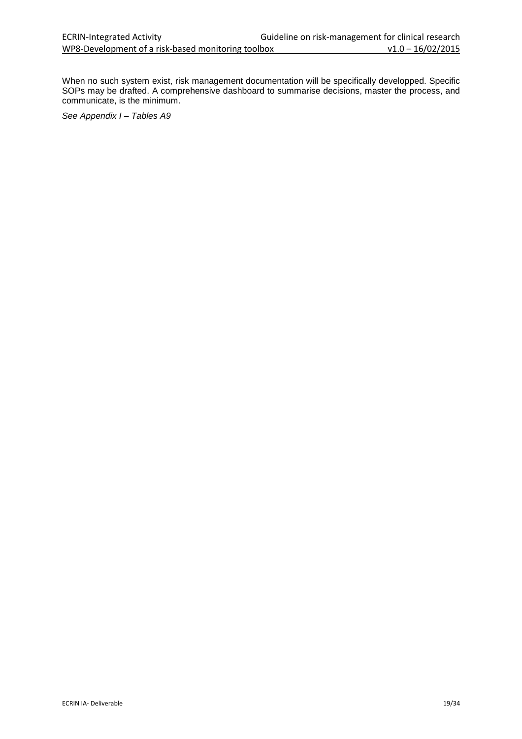When no such system exist, risk management documentation will be specifically developped. Specific SOPs may be drafted. A comprehensive dashboard to summarise decisions, master the process, and communicate, is the minimum.

See Appendix I - Tables A9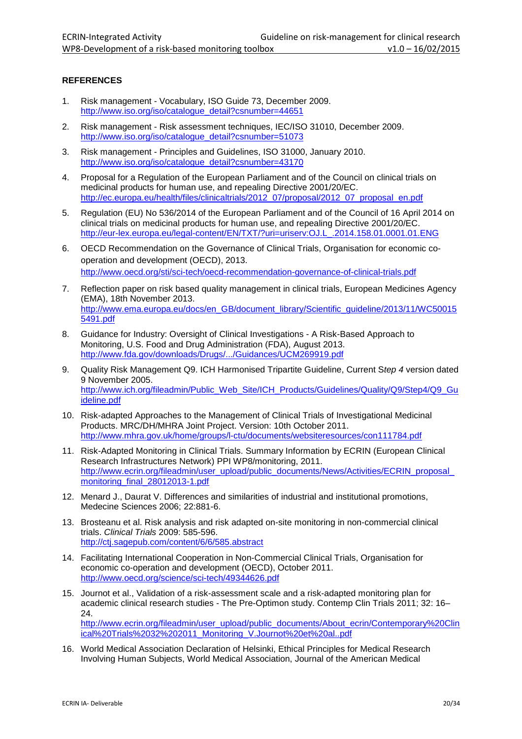#### **REFERENCES**

- 1. Risk management Vocabulary, ISO Guide 73, December 2009. http://www.iso.org/iso/catalogue\_detail?csnumber=44651
- 2. Risk management Risk assessment techniques, IEC/ISO 31010, December 2009. http://www.iso.org/iso/catalogue\_detail?csnumber=51073
- 3. Risk management Principles and Guidelines, ISO 31000, January 2010. http://www.iso.org/iso/catalogue\_detail?csnumber=43170
- 4. Proposal for a Regulation of the European Parliament and of the Council on clinical trials on medicinal products for human use, and repealing Directive 2001/20/EC. http://ec.europa.eu/health/files/clinicaltrials/2012\_07/proposal/2012\_07\_proposal\_en.pdf
- 5. Regulation (EU) No 536/2014 of the European Parliament and of the Council of 16 April 2014 on clinical trials on medicinal products for human use, and repealing Directive 2001/20/EC. http://eur-lex.europa.eu/legal-content/EN/TXT/?uri=uriserv:OJ.L\_.2014.158.01.0001.01.ENG
- 6. OECD Recommendation on the Governance of Clinical Trials, Organisation for economic cooperation and development (OECD), 2013. http://www.oecd.org/sti/sci-tech/oecd-recommendation-governance-of-clinical-trials.pdf
- 7. Reflection paper on risk based quality management in clinical trials, European Medicines Agency (EMA), 18th November 2013. http://www.ema.europa.eu/docs/en\_GB/document\_library/Scientific\_guideline/2013/11/WC50015 5491.pdf
- 8. Guidance for Industry: Oversight of Clinical Investigations A Risk-Based Approach to Monitoring, U.S. Food and Drug Administration (FDA), August 2013. http://www.fda.gov/downloads/Drugs/.../Guidances/UCM269919.pdf
- 9. Quality Risk Management Q9. ICH Harmonised Tripartite Guideline, Current Step 4 version dated 9 November 2005. http://www.ich.org/fileadmin/Public\_Web\_Site/ICH\_Products/Guidelines/Quality/Q9/Step4/Q9\_Gu ideline.pdf
- 10. Risk-adapted Approaches to the Management of Clinical Trials of Investigational Medicinal Products. MRC/DH/MHRA Joint Project. Version: 10th October 2011. http://www.mhra.gov.uk/home/groups/l-ctu/documents/websiteresources/con111784.pdf
- 11. Risk-Adapted Monitoring in Clinical Trials. Summary Information by ECRIN (European Clinical Research Infrastructures Network) PPI WP8/monitoring, 2011. http://www.ecrin.org/fileadmin/user\_upload/public\_documents/News/Activities/ECRIN\_proposal monitoring\_final\_28012013-1.pdf
- 12. Menard J., Daurat V. Differences and similarities of industrial and institutional promotions, Medecine Sciences 2006; 22:881-6.
- 13. Brosteanu et al. Risk analysis and risk adapted on-site monitoring in non-commercial clinical trials. Clinical Trials 2009: 585-596. http://ctj.sagepub.com/content/6/6/585.abstract
- 14. Facilitating International Cooperation in Non-Commercial Clinical Trials, Organisation for economic co-operation and development (OECD), October 2011. http://www.oecd.org/science/sci-tech/49344626.pdf
- 15. Journot et al., Validation of a risk-assessment scale and a risk-adapted monitoring plan for academic clinical research studies - The Pre-Optimon study. Contemp Clin Trials 2011; 32: 16– 24. http://www.ecrin.org/fileadmin/user\_upload/public\_documents/About\_ecrin/Contemporary%20Clin ical%20Trials%2032%202011\_Monitoring\_V.Journot%20et%20al..pdf
- 16. World Medical Association Declaration of Helsinki, Ethical Principles for Medical Research Involving Human Subjects, World Medical Association, Journal of the American Medical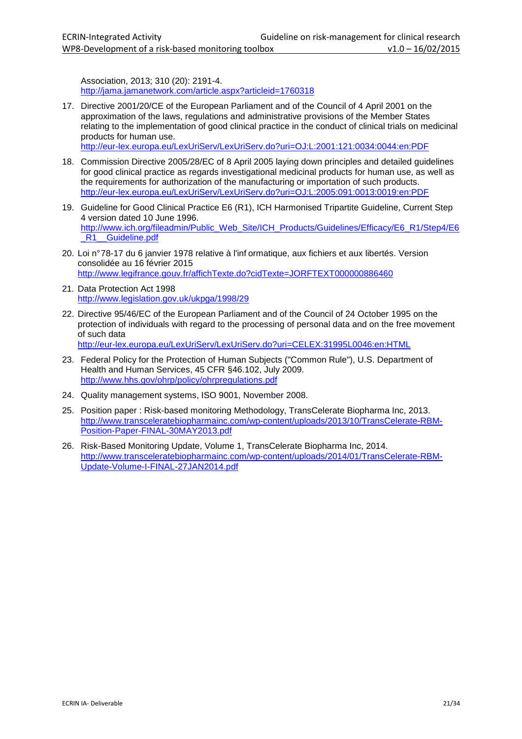Association, 2013; 310 (20): 2191-4. http://jama.jamanetwork.com/article.aspx?articleid=1760318

17. Directive 2001/20/CE of the European Parliament and of the Council of 4 April 2001 on the approximation of the laws, regulations and administrative provisions of the Member States relating to the implementation of good clinical practice in the conduct of clinical trials on medicinal products for human use.

http://eur-lex.europa.eu/LexUriServ/LexUriServ.do?uri=OJ:L:2001:121:0034:0044:en:PDF

- 18. Commission Directive 2005/28/EC of 8 April 2005 laying down principles and detailed guidelines for good clinical practice as regards investigational medicinal products for human use, as well as the requirements for authorization of the manufacturing or importation of such products. http://eur-lex.europa.eu/LexUriServ/LexUriServ.do?uri=OJ:L:2005:091:0013:0019:en:PDF
- 19. Guideline for Good Clinical Practice E6 (R1), ICH Harmonised Tripartite Guideline, Current Step 4 version dated 10 June 1996. http://www.ich.org/fileadmin/Public\_Web\_Site/ICH\_Products/Guidelines/Efficacy/E6\_R1/Step4/E6 R1 Guideline.pdf
- 20. Loi n° 78-17 du 6 janvier 1978 relative à l'inf ormatique, aux fichiers et aux libertés. Version consolidée au 16 février 2015 http://www.legifrance.gouv.fr/affichTexte.do?cidTexte=JORFTEXT000000886460
- 21. Data Protection Act 1998 http://www.legislation.gov.uk/ukpga/1998/29
- 22. Directive 95/46/EC of the European Parliament and of the Council of 24 October 1995 on the protection of individuals with regard to the processing of personal data and on the free movement of such data

http://eur-lex.europa.eu/LexUriServ/LexUriServ.do?uri=CELEX:31995L0046:en:HTML

- 23. Federal Policy for the Protection of Human Subjects ("Common Rule"), U.S. Department of Health and Human Services, 45 CFR §46.102, July 2009. http://www.hhs.gov/ohrp/policy/ohrpregulations.pdf
- 24. Quality management systems, ISO 9001, November 2008.
- 25. Position paper : Risk-based monitoring Methodology, TransCelerate Biopharma Inc, 2013. http://www.transceleratebiopharmainc.com/wp-content/uploads/2013/10/TransCelerate-RBM-Position-Paper-FINAL-30MAY2013.pdf
- 26. Risk-Based Monitoring Update, Volume 1, TransCelerate Biopharma Inc, 2014. http://www.transceleratebiopharmainc.com/wp-content/uploads/2014/01/TransCelerate-RBM-Update-Volume-I-FINAL-27JAN2014.pdf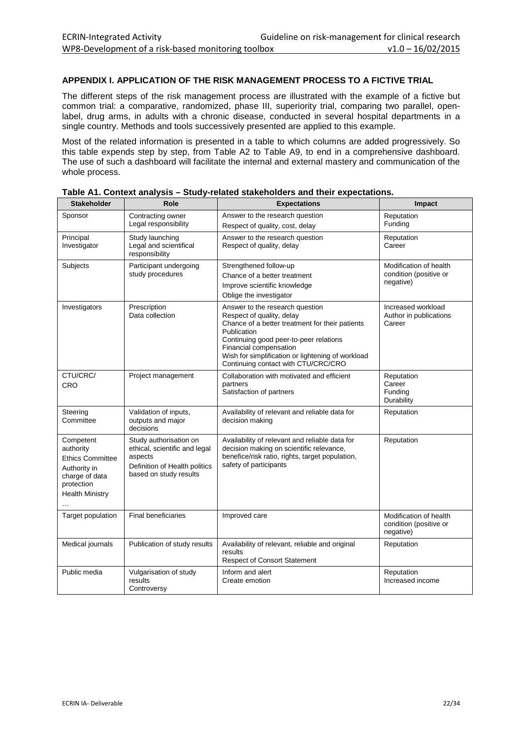#### **APPENDIX I. APPLICATION OF THE RISK MANAGEMENT PROCESS TO A FICTIVE TRIAL**

The different steps of the risk management process are illustrated with the example of a fictive but common trial: a comparative, randomized, phase III, superiority trial, comparing two parallel, openlabel, drug arms, in adults with a chronic disease, conducted in several hospital departments in a single country. Methods and tools successively presented are applied to this example.

Most of the related information is presented in a table to which columns are added progressively. So this table expends step by step, from Table A2 to Table A9, to end in a comprehensive dashboard. The use of such a dashboard will facilitate the internal and external mastery and communication of the whole process.

| <b>Stakeholder</b>                                                                                                          | Role                                                                                                                          | <b>Expectations</b>                                                                                                                                                                                                                                                                            | Impact                                                        |  |  |  |
|-----------------------------------------------------------------------------------------------------------------------------|-------------------------------------------------------------------------------------------------------------------------------|------------------------------------------------------------------------------------------------------------------------------------------------------------------------------------------------------------------------------------------------------------------------------------------------|---------------------------------------------------------------|--|--|--|
| Sponsor                                                                                                                     | Contracting owner<br>Legal responsibility                                                                                     | Answer to the research question<br>Respect of quality, cost, delay                                                                                                                                                                                                                             | Reputation<br>Funding                                         |  |  |  |
| Principal<br>Investigator                                                                                                   | Study launching<br>Legal and scientifical<br>responsibility                                                                   | Answer to the research question<br>Respect of quality, delay                                                                                                                                                                                                                                   | Reputation<br>Career                                          |  |  |  |
| Subjects                                                                                                                    | Participant undergoing<br>study procedures                                                                                    | Strengthened follow-up<br>Chance of a better treatment<br>Improve scientific knowledge<br>Oblige the investigator                                                                                                                                                                              | Modification of health<br>condition (positive or<br>negative) |  |  |  |
| Investigators                                                                                                               | Prescription<br>Data collection                                                                                               | Answer to the research question<br>Respect of quality, delay<br>Chance of a better treatment for their patients<br>Publication<br>Continuing good peer-to-peer relations<br>Financial compensation<br>Wish for simplification or lightening of workload<br>Continuing contact with CTU/CRC/CRO | Increased workload<br>Author in publications<br>Career        |  |  |  |
| CTU/CRC/<br><b>CRO</b>                                                                                                      | Project management                                                                                                            | Collaboration with motivated and efficient<br>partners<br>Satisfaction of partners                                                                                                                                                                                                             | Reputation<br>Career<br>Funding<br>Durability                 |  |  |  |
| Steering<br>Committee                                                                                                       | Validation of inputs,<br>outputs and major<br>decisions                                                                       | Availability of relevant and reliable data for<br>decision making                                                                                                                                                                                                                              | Reputation                                                    |  |  |  |
| Competent<br>authority<br><b>Ethics Committee</b><br>Authority in<br>charge of data<br>protection<br><b>Health Ministry</b> | Study authorisation on<br>ethical, scientific and legal<br>aspects<br>Definition of Health politics<br>based on study results | Availability of relevant and reliable data for<br>decision making on scientific relevance,<br>benefice/risk ratio, rights, target population,<br>safety of participants                                                                                                                        | Reputation                                                    |  |  |  |
| Target population                                                                                                           | <b>Final beneficiaries</b>                                                                                                    | Improved care                                                                                                                                                                                                                                                                                  | Modification of health<br>condition (positive or<br>negative) |  |  |  |
| Medical journals                                                                                                            | Publication of study results                                                                                                  | Availability of relevant, reliable and original<br>results<br><b>Respect of Consort Statement</b>                                                                                                                                                                                              | Reputation                                                    |  |  |  |
| Public media                                                                                                                | Vulgarisation of study<br>results<br>Controversy                                                                              | Inform and alert<br>Create emotion                                                                                                                                                                                                                                                             | Reputation<br>Increased income                                |  |  |  |

| Table A1. Context analysis – Study-related stakeholders and their expectations. |
|---------------------------------------------------------------------------------|
|---------------------------------------------------------------------------------|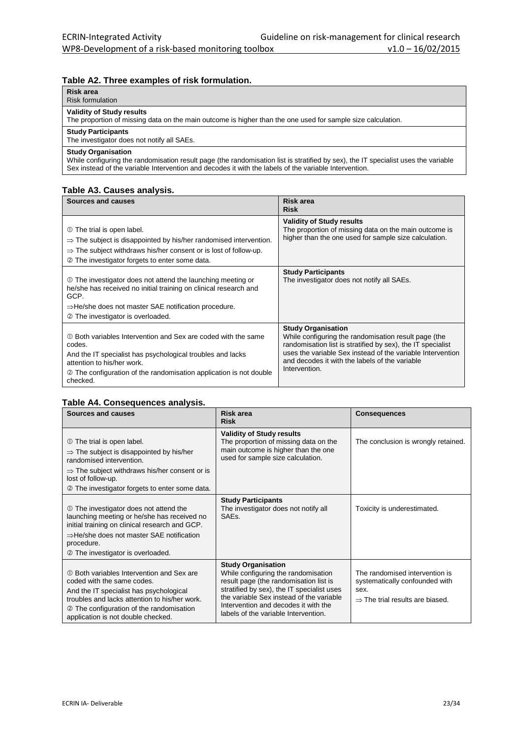#### **Table A2. Three examples of risk formulation.**

| Risk area<br><b>Risk formulation</b>                                                                                                                        |
|-------------------------------------------------------------------------------------------------------------------------------------------------------------|
| <b>Validity of Study results</b><br>The proportion of missing data on the main outcome is higher than the one used for sample size calculation.             |
| <b>Study Participants</b><br>The investigator does not notify all SAEs.                                                                                     |
| <b>Study Organisation</b><br>While configuring the randomisation result page (the randomisation list is stratified by sex) the IT specialist uses the varia |

While configuring the randomisation result page (the randomisation list is stratified by sex), the IT specialist uses the variable Sex instead of the variable Intervention and decodes it with the labels of the variable Intervention.

#### **Table A3. Causes analysis.**

| Sources and causes                                                                                                                                                                                                                                    | Risk area<br><b>Risk</b>                                                                                                                                                                                                                                                          |
|-------------------------------------------------------------------------------------------------------------------------------------------------------------------------------------------------------------------------------------------------------|-----------------------------------------------------------------------------------------------------------------------------------------------------------------------------------------------------------------------------------------------------------------------------------|
| 10 The trial is open label.<br>$\Rightarrow$ The subject is disappointed by his/her randomised intervention.<br>$\Rightarrow$ The subject withdraws his/her consent or is lost of follow-up.<br>2 The investigator forgets to enter some data.        | <b>Validity of Study results</b><br>The proportion of missing data on the main outcome is<br>higher than the one used for sample size calculation.                                                                                                                                |
| 10 The investigator does not attend the launching meeting or<br>he/she has received no initial training on clinical research and<br>GCP.<br>$\Rightarrow$ He/she does not master SAE notification procedure.<br>© The investigator is overloaded.     | <b>Study Participants</b><br>The investigator does not notify all SAEs.                                                                                                                                                                                                           |
| ① Both variables Intervention and Sex are coded with the same<br>codes.<br>And the IT specialist has psychological troubles and lacks<br>attention to his/her work.<br>2 The configuration of the randomisation application is not double<br>checked. | <b>Study Organisation</b><br>While configuring the randomisation result page (the<br>randomisation list is stratified by sex), the IT specialist<br>uses the variable Sex instead of the variable Intervention<br>and decodes it with the labels of the variable<br>Intervention. |

#### **Table A4. Consequences analysis.**

| Sources and causes                                                                                                                                                                                                                                            | <b>Risk area</b><br><b>Risk</b>                                                                                                                                                                                                                                                      | <b>Consequences</b>                                                                                                     |  |  |  |  |
|---------------------------------------------------------------------------------------------------------------------------------------------------------------------------------------------------------------------------------------------------------------|--------------------------------------------------------------------------------------------------------------------------------------------------------------------------------------------------------------------------------------------------------------------------------------|-------------------------------------------------------------------------------------------------------------------------|--|--|--|--|
| 10 The trial is open label.<br>$\Rightarrow$ The subject is disappointed by his/her<br>randomised intervention.<br>$\Rightarrow$ The subject withdraws his/her consent or is<br>lost of follow-up.<br>2 The investigator forgets to enter some data.          | <b>Validity of Study results</b><br>The proportion of missing data on the<br>main outcome is higher than the one<br>used for sample size calculation.                                                                                                                                | The conclusion is wrongly retained.                                                                                     |  |  |  |  |
| 10 The investigator does not attend the<br>launching meeting or he/she has received no<br>initial training on clinical research and GCP.<br>$\Rightarrow$ He/she does not master SAE notification<br>procedure.<br>2 The investigator is overloaded.          | <b>Study Participants</b><br>The investigator does not notify all<br>SAE <sub>s</sub> .                                                                                                                                                                                              | Toxicity is underestimated.                                                                                             |  |  |  |  |
| 10 Both variables Intervention and Sex are<br>coded with the same codes.<br>And the IT specialist has psychological<br>troubles and lacks attention to his/her work.<br><b>2</b> The configuration of the randomisation<br>application is not double checked. | <b>Study Organisation</b><br>While configuring the randomisation<br>result page (the randomisation list is<br>stratified by sex), the IT specialist uses<br>the variable Sex instead of the variable<br>Intervention and decodes it with the<br>labels of the variable Intervention. | The randomised intervention is<br>systematically confounded with<br>sex.<br>$\Rightarrow$ The trial results are biased. |  |  |  |  |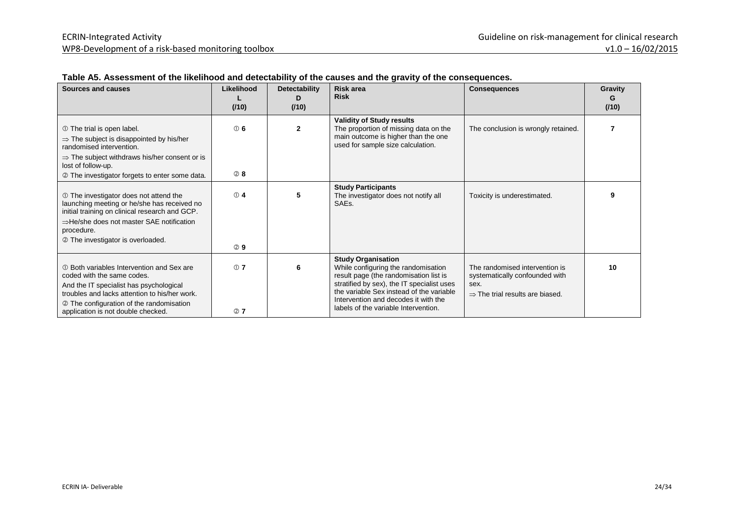| <b>Sources and causes</b>                                                                                                                                                                                                                              | Likelihood<br>(110)       | Detectability<br>D<br>(110) | <b>Risk area</b><br><b>Risk</b>                                                                                                                                                                                                                                                      | <b>Consequences</b>                                                                                                     | Gravity<br>G<br>(110) |
|--------------------------------------------------------------------------------------------------------------------------------------------------------------------------------------------------------------------------------------------------------|---------------------------|-----------------------------|--------------------------------------------------------------------------------------------------------------------------------------------------------------------------------------------------------------------------------------------------------------------------------------|-------------------------------------------------------------------------------------------------------------------------|-----------------------|
| 10 The trial is open label.<br>$\Rightarrow$ The subject is disappointed by his/her<br>randomised intervention.<br>$\Rightarrow$ The subject withdraws his/her consent or is<br>lost of follow-up.                                                     | $\circledcirc$ 6          | $\mathbf{2}$                | <b>Validity of Study results</b><br>The proportion of missing data on the<br>main outcome is higher than the one<br>used for sample size calculation.                                                                                                                                | The conclusion is wrongly retained.                                                                                     |                       |
| 2 The investigator forgets to enter some data.                                                                                                                                                                                                         | <b>28</b>                 |                             |                                                                                                                                                                                                                                                                                      |                                                                                                                         |                       |
| 10 The investigator does not attend the<br>launching meeting or he/she has received no<br>initial training on clinical research and GCP.                                                                                                               | ① 4                       | 5                           | <b>Study Participants</b><br>The investigator does not notify all<br>SAE <sub>s</sub> .                                                                                                                                                                                              | Toxicity is underestimated.                                                                                             |                       |
| $\Rightarrow$ He/she does not master SAE notification<br>procedure.                                                                                                                                                                                    |                           |                             |                                                                                                                                                                                                                                                                                      |                                                                                                                         |                       |
| 2 The investigator is overloaded.                                                                                                                                                                                                                      | <b>②9</b>                 |                             |                                                                                                                                                                                                                                                                                      |                                                                                                                         |                       |
| 10 Both variables Intervention and Sex are<br>coded with the same codes.<br>And the IT specialist has psychological<br>troubles and lacks attention to his/her work.<br>2 The configuration of the randomisation<br>application is not double checked. | $\circledcirc$ 7<br>$Q$ 7 | 6                           | <b>Study Organisation</b><br>While configuring the randomisation<br>result page (the randomisation list is<br>stratified by sex), the IT specialist uses<br>the variable Sex instead of the variable<br>Intervention and decodes it with the<br>labels of the variable Intervention. | The randomised intervention is<br>systematically confounded with<br>sex.<br>$\Rightarrow$ The trial results are biased. | 10                    |

#### **Table A5. Assessment of the likelihood and detectability of the causes and the gravity of the consequences.**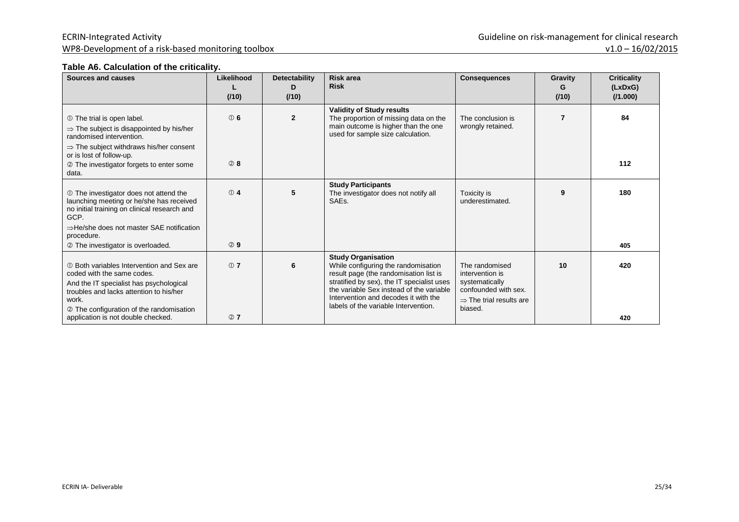#### **Table A6. Calculation of the criticality.**

| Sources and causes                                                                                                                                                                                                  | Likelihood<br>(110) | <b>Detectability</b><br>D.<br>(110) | <b>Risk area</b><br><b>Risk</b>                                                                                                                                                                                                                                                      | <b>Consequences</b>                                                                                                           | Gravity<br>G<br>(110) | <b>Criticality</b><br>(LxDxG)<br>(1.000) |
|---------------------------------------------------------------------------------------------------------------------------------------------------------------------------------------------------------------------|---------------------|-------------------------------------|--------------------------------------------------------------------------------------------------------------------------------------------------------------------------------------------------------------------------------------------------------------------------------------|-------------------------------------------------------------------------------------------------------------------------------|-----------------------|------------------------------------------|
| 10 The trial is open label.<br>$\Rightarrow$ The subject is disappointed by his/her<br>randomised intervention.<br>$\Rightarrow$ The subject withdraws his/her consent                                              | ① 6                 | $\overline{2}$                      | <b>Validity of Study results</b><br>The proportion of missing data on the<br>main outcome is higher than the one<br>used for sample size calculation.                                                                                                                                | The conclusion is<br>wrongly retained.                                                                                        | 7                     | 84                                       |
| or is lost of follow-up.                                                                                                                                                                                            |                     |                                     |                                                                                                                                                                                                                                                                                      |                                                                                                                               |                       |                                          |
| © The investigator forgets to enter some<br>data.                                                                                                                                                                   | 28                  |                                     |                                                                                                                                                                                                                                                                                      |                                                                                                                               |                       | 112                                      |
| 10 The investigator does not attend the<br>launching meeting or he/she has received<br>no initial training on clinical research and<br>GCP.<br>$\Rightarrow$ He/she does not master SAE notification<br>procedure.  | ① 4                 | 5                                   | <b>Study Participants</b><br>The investigator does not notify all<br>SAE <sub>s</sub> .                                                                                                                                                                                              | Toxicity is<br>underestimated.                                                                                                | 9                     | 180                                      |
| 2 The investigator is overloaded.                                                                                                                                                                                   | 29                  |                                     |                                                                                                                                                                                                                                                                                      |                                                                                                                               |                       | 405                                      |
| 10 Both variables Intervention and Sex are<br>coded with the same codes.<br>And the IT specialist has psychological<br>troubles and lacks attention to his/her<br>work.<br>© The configuration of the randomisation | ① 7                 | 6                                   | <b>Study Organisation</b><br>While configuring the randomisation<br>result page (the randomisation list is<br>stratified by sex), the IT specialist uses<br>the variable Sex instead of the variable<br>Intervention and decodes it with the<br>labels of the variable Intervention. | The randomised<br>intervention is<br>systematically<br>confounded with sex.<br>$\Rightarrow$ The trial results are<br>biased. | 10                    | 420                                      |
| application is not double checked.                                                                                                                                                                                  | @7                  |                                     |                                                                                                                                                                                                                                                                                      |                                                                                                                               |                       | 420                                      |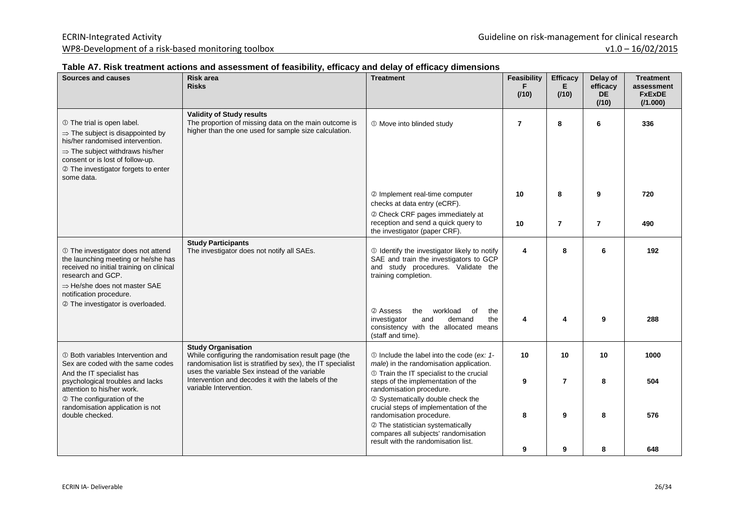#### **Table A7. Risk treatment actions and assessment of feasibility, efficacy and delay of efficacy dimensions**

| <b>Sources and causes</b>                                                                                                                                                                                                                               | <b>Risk area</b><br><b>Risks</b>                                                                                                                                                                  | <b>Treatment</b>                                                                                                                                                                                  | <b>Feasibility</b><br>F<br>(110) | <b>Efficacy</b><br>E.<br>(110) | Delay of<br>efficacy<br><b>DE</b><br>(110) | <b>Treatment</b><br>assessment<br><b>FxExDE</b><br>(11.000) |
|---------------------------------------------------------------------------------------------------------------------------------------------------------------------------------------------------------------------------------------------------------|---------------------------------------------------------------------------------------------------------------------------------------------------------------------------------------------------|---------------------------------------------------------------------------------------------------------------------------------------------------------------------------------------------------|----------------------------------|--------------------------------|--------------------------------------------|-------------------------------------------------------------|
| 10 The trial is open label.<br>$\Rightarrow$ The subject is disappointed by<br>his/her randomised intervention.<br>$\Rightarrow$ The subject withdraws his/her<br>consent or is lost of follow-up.<br>2 The investigator forgets to enter<br>some data. | <b>Validity of Study results</b><br>The proportion of missing data on the main outcome is<br>higher than the one used for sample size calculation.                                                | 10 Move into blinded study                                                                                                                                                                        | $\overline{7}$                   | 8                              | 6                                          | 336                                                         |
|                                                                                                                                                                                                                                                         |                                                                                                                                                                                                   | 2 Implement real-time computer<br>checks at data entry (eCRF).                                                                                                                                    | 10                               | 8                              | 9                                          | 720                                                         |
|                                                                                                                                                                                                                                                         |                                                                                                                                                                                                   | 2 Check CRF pages immediately at<br>reception and send a quick query to<br>the investigator (paper CRF).                                                                                          | 10                               | $\overline{7}$                 | $\overline{7}$                             | 490                                                         |
| 1 The investigator does not attend<br>the launching meeting or he/she has<br>received no initial training on clinical<br>research and GCP.<br>$\Rightarrow$ He/she does not master SAE<br>notification procedure.<br>2 The investigator is overloaded.  | <b>Study Participants</b><br>The investigator does not notify all SAEs.                                                                                                                           | 10 Identify the investigator likely to notify<br>SAE and train the investigators to GCP<br>and study procedures. Validate the<br>training completion.<br>2 Assess<br>the<br>workload<br>the<br>0f | 4                                | 8                              | 6                                          | 192                                                         |
|                                                                                                                                                                                                                                                         |                                                                                                                                                                                                   | investigator<br>demand<br>the<br>and<br>consistency with the allocated means<br>(staff and time).                                                                                                 | 4                                | 4                              | 9                                          | 288                                                         |
| 10 Both variables Intervention and<br>Sex are coded with the same codes<br>And the IT specialist has                                                                                                                                                    | <b>Study Organisation</b><br>While configuring the randomisation result page (the<br>randomisation list is stratified by sex), the IT specialist<br>uses the variable Sex instead of the variable | 1- 1- 1- 10 Include the label into the code (ex: 1-<br>male) in the randomisation application.<br>1 Train the IT specialist to the crucial                                                        | 10                               | 10                             | 10                                         | 1000                                                        |
| Intervention and decodes it with the labels of the<br>psychological troubles and lacks<br>variable Intervention.<br>attention to his/her work.<br>2 The configuration of the                                                                            |                                                                                                                                                                                                   | steps of the implementation of the<br>randomisation procedure.<br>2 Systematically double check the                                                                                               | 9                                | $\overline{7}$                 | 8                                          | 504                                                         |
| randomisation application is not<br>double checked.                                                                                                                                                                                                     |                                                                                                                                                                                                   | crucial steps of implementation of the<br>randomisation procedure.<br>2 The statistician systematically<br>compares all subjects' randomisation<br>result with the randomisation list.            | 8                                | 9                              | 8                                          | 576                                                         |
|                                                                                                                                                                                                                                                         |                                                                                                                                                                                                   |                                                                                                                                                                                                   | 9                                | 9                              | 8                                          | 648                                                         |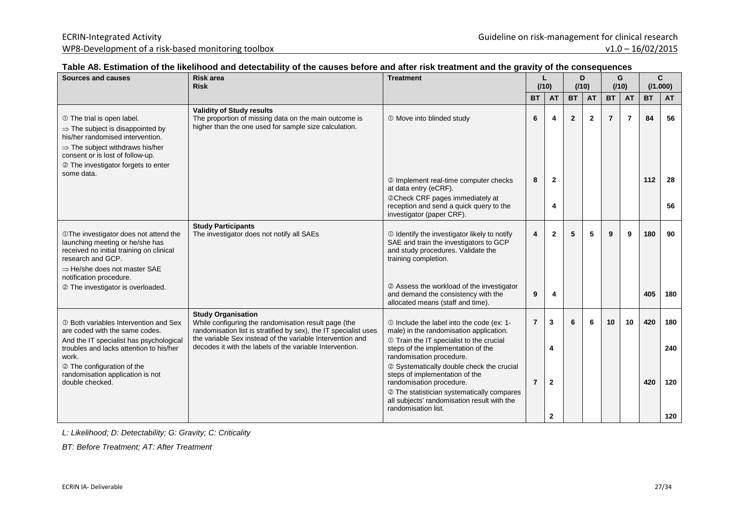#### **Table A8. Estimation of the likelihood and detectability of the causes before and after risk treatment and the gravity of the consequences**

| Sources and causes                                                                                                                                                                                 | <b>Risk area</b><br><b>Risk</b>                                                                                                                       | <b>Treatment</b>                                                                                                                                      |                | (110)        |                | D<br>(110)     |                | G<br>(110)     |           | C<br>(71.000) |
|----------------------------------------------------------------------------------------------------------------------------------------------------------------------------------------------------|-------------------------------------------------------------------------------------------------------------------------------------------------------|-------------------------------------------------------------------------------------------------------------------------------------------------------|----------------|--------------|----------------|----------------|----------------|----------------|-----------|---------------|
|                                                                                                                                                                                                    |                                                                                                                                                       |                                                                                                                                                       | <b>BT</b>      | <b>AT</b>    | <b>BT</b>      | <b>AT</b>      | <b>BT</b>      | <b>AT</b>      | <b>BT</b> | <b>AT</b>     |
| 10 The trial is open label.<br>$\Rightarrow$ The subject is disappointed by<br>his/her randomised intervention.<br>$\Rightarrow$ The subject withdraws his/her<br>consent or is lost of follow-up. | <b>Validity of Study results</b><br>The proportion of missing data on the main outcome is<br>higher than the one used for sample size calculation.    | 1 Move into blinded study                                                                                                                             | 6              | 4            | $\overline{2}$ | $\overline{2}$ | $\overline{7}$ | $\overline{7}$ | 84        | 56            |
| 2 The investigator forgets to enter                                                                                                                                                                |                                                                                                                                                       |                                                                                                                                                       |                |              |                |                |                |                |           |               |
| some data.                                                                                                                                                                                         |                                                                                                                                                       | 2 Implement real-time computer checks<br>at data entry (eCRF).                                                                                        | 8              | $\mathbf{2}$ |                |                |                |                | 112       | 28            |
|                                                                                                                                                                                                    |                                                                                                                                                       | @Check CRF pages immediately at<br>reception and send a quick query to the<br>investigator (paper CRF).                                               |                | 4            |                |                |                |                |           | 56            |
| <b>OThe investigator does not attend the</b><br>launching meeting or he/she has<br>received no initial training on clinical<br>research and GCP.<br>$\Rightarrow$ He/she does not master SAE       | <b>Study Participants</b><br>The investigator does not notify all SAEs                                                                                | 10 Identify the investigator likely to notify<br>SAE and train the investigators to GCP<br>and study procedures. Validate the<br>training completion. | 4              | $\mathbf{2}$ | 5              | 5              | 9              | 9              | 180       | 90            |
| notification procedure.<br>2 The investigator is overloaded.                                                                                                                                       |                                                                                                                                                       | 2 Assess the workload of the investigator<br>and demand the consistency with the<br>allocated means (staff and time).                                 | 9              | 4            |                |                |                |                | 405       | 180           |
| 10 Both variables Intervention and Sex<br>are coded with the same codes.                                                                                                                           | <b>Study Organisation</b><br>While configuring the randomisation result page (the<br>randomisation list is stratified by sex), the IT specialist uses |                                                                                                                                                       | $\overline{7}$ | 3            | 6              | 6              | 10             | 10             | 420       | 180           |
| And the IT specialist has psychological<br>troubles and lacks attention to his/her<br>work.                                                                                                        | the variable Sex instead of the variable Intervention and<br>decodes it with the labels of the variable Intervention.                                 | 1 Train the IT specialist to the crucial<br>steps of the implementation of the<br>randomisation procedure.                                            |                | 4            |                |                |                |                |           | 240           |
| 2 The configuration of the<br>randomisation application is not<br>double checked.                                                                                                                  |                                                                                                                                                       | 2 Systematically double check the crucial<br>steps of implementation of the<br>randomisation procedure.<br>2 The statistician systematically compares | $\overline{7}$ | $\mathbf{2}$ |                |                |                |                | 420       | 120           |
|                                                                                                                                                                                                    |                                                                                                                                                       | all subjects' randomisation result with the<br>randomisation list.                                                                                    |                | 2            |                |                |                |                |           | 120           |

L: Likelihood; D: Detectability; G: Gravity; C: Criticality

BT: Before Treatment; AT: After Treatment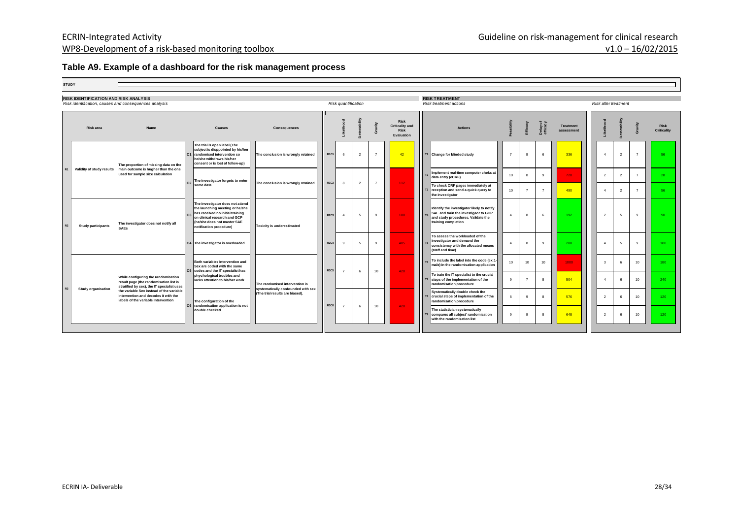#### **Table A9. Example of a dashboard for the risk management process**

| <b>STUDY</b> |
|--------------|
|--------------|

 $\overline{ }$ 

| <b>RISK IDENTIFICATION AND RISK ANALYSIS</b><br>Risk identification, causes and consequences analysis |                                                                  |                                                                                                                             |                                                                                                     |                                                                                                                                                                    |                                                       | Risk quantification |                          |                                                                                                                                                                                                         |                                                                    | <b>RISK TREATMENT</b><br>Risk treatment actions                                                                            |                             |                                                                                                       |                      |                                |                                                                                                                                                 | Risk after treatment |                                                                |                                   |     |                |   |   |    |                                                                                     |    |    |    |      |              |  |    |     |
|-------------------------------------------------------------------------------------------------------|------------------------------------------------------------------|-----------------------------------------------------------------------------------------------------------------------------|-----------------------------------------------------------------------------------------------------|--------------------------------------------------------------------------------------------------------------------------------------------------------------------|-------------------------------------------------------|---------------------|--------------------------|---------------------------------------------------------------------------------------------------------------------------------------------------------------------------------------------------------|--------------------------------------------------------------------|----------------------------------------------------------------------------------------------------------------------------|-----------------------------|-------------------------------------------------------------------------------------------------------|----------------------|--------------------------------|-------------------------------------------------------------------------------------------------------------------------------------------------|----------------------|----------------------------------------------------------------|-----------------------------------|-----|----------------|---|---|----|-------------------------------------------------------------------------------------|----|----|----|------|--------------|--|----|-----|
|                                                                                                       | <b>Riskarea</b>                                                  | Name                                                                                                                        | Causes                                                                                              | Consequences                                                                                                                                                       |                                                       |                     |                          |                                                                                                                                                                                                         | <b>Risk</b><br><b>Criticality and</b><br><b>Risk</b><br>Evaluation | <b>Actions</b>                                                                                                             |                             |                                                                                                       | Delay of<br>efficacy | <b>Treatment</b><br>assessment |                                                                                                                                                 |                      |                                                                | <b>Risk</b><br><b>Criticality</b> |     |                |   |   |    |                                                                                     |    |    |    |      |              |  |    |     |
| R1                                                                                                    | main outcome is hugher than the one<br>Validity of study results | The proportion of missing data on the                                                                                       |                                                                                                     | The trial is open label (The<br>subject is disppointed by his/her<br>C1 randomised intervention so<br>he/she withdraws his/her<br>consent or is lost of follow-up) | The conclusion is wrongly retained                    | <b>R1C1</b>         | 6                        | $\mathcal{P}$                                                                                                                                                                                           |                                                                    | 42                                                                                                                         | T1 Change for blinded study | $\overline{7}$                                                                                        | 8                    | -6                             | 336                                                                                                                                             |                      | $\mathcal{P}$                                                  | $\overline{7}$                    | 56  |                |   |   |    |                                                                                     |    |    |    |      |              |  |    |     |
|                                                                                                       |                                                                  | used for sample size calculation                                                                                            | The investigator forgets to enter                                                                   |                                                                                                                                                                    |                                                       |                     |                          |                                                                                                                                                                                                         |                                                                    | Implement real-time computer cheks at<br>data entry (eCRF)                                                                 | 10                          | -8                                                                                                    | 9                    | 720                            | $\overline{2}$                                                                                                                                  | $\overline{2}$       | $\overline{7}$                                                 | 28                                |     |                |   |   |    |                                                                                     |    |    |    |      |              |  |    |     |
|                                                                                                       |                                                                  |                                                                                                                             | C <sub>2</sub><br>some data                                                                         | The conclusion is wrongly retained                                                                                                                                 | R1C2                                                  | $\mathbf{a}$        | $\overline{\phantom{a}}$ | -7                                                                                                                                                                                                      | $112 -$                                                            | To check CRF pages immediately at<br>T3 reception and send a quick query to<br>the investigator                            | 10                          | $\overline{7}$                                                                                        | $\overline{7}$       | 490                            | $\boldsymbol{\Lambda}$                                                                                                                          | $\mathcal{P}$        | $\overline{7}$                                                 | 56                                |     |                |   |   |    |                                                                                     |    |    |    |      |              |  |    |     |
| R2                                                                                                    | <b>Study participants</b><br><b>SAEs</b>                         | The investigator does not notify all                                                                                        |                                                                                                     |                                                                                                                                                                    |                                                       |                     |                          | The investigator does not attend<br>the launching meeting or he/she<br>has received no initial training<br>C3<br>on clinical research and GCP<br>(he/she does not master SAE<br>notification procedure) | <b>Toxicity is underestimated</b>                                  | <b>R2C3</b>                                                                                                                | $\overline{4}$              | 5                                                                                                     | 9                    | 180                            | Identify the investigator likely to notify<br>SAE and train the investigaor to GCP<br>and study procedures. Validate the<br>training completion | $\overline{4}$       | 8                                                              | -6                                | 192 | $\overline{2}$ | 5 | 9 | 90 |                                                                                     |    |    |    |      |              |  |    |     |
|                                                                                                       |                                                                  |                                                                                                                             | C4 The investigator is overloaded                                                                   |                                                                                                                                                                    | <b>R2C4</b>                                           | 9                   | 5                        | $\alpha$                                                                                                                                                                                                | 405                                                                | To assess the workloaded of the<br>investigator and demand the<br>consistency with the allocated means<br>(staff and time) | $\overline{4}$              | $\mathbf{a}$                                                                                          | 9                    | 288                            |                                                                                                                                                 | -5                   | 9                                                              | 180                               |     |                |   |   |    |                                                                                     |    |    |    |      |              |  |    |     |
|                                                                                                       |                                                                  | While configuring the randomisation<br>result page (the randomisation list is<br>stratified by sex), the IT specialist uses |                                                                                                     |                                                                                                                                                                    |                                                       |                     |                          |                                                                                                                                                                                                         |                                                                    |                                                                                                                            |                             |                                                                                                       |                      |                                |                                                                                                                                                 |                      | Both variables Intervention and<br>Sex are coded with the same |                                   |     |                |   |   |    | To include the label into the code (ex:1-<br>male) in the randomisation application | 10 | 10 | 10 | 1000 | $\mathbf{3}$ |  | 10 | 180 |
| R3                                                                                                    |                                                                  |                                                                                                                             | C5 codes and the IT specialist has<br>phychological troubles and<br>lacks attention to his/her work | The randomised intervention is                                                                                                                                     | <b>R3C5</b>                                           | $\overline{7}$      | 6                        | 10                                                                                                                                                                                                      | 420                                                                | To train the IT specialist to the crucial<br>steps of the implementation of the<br>randomisation procedure                 | $\alpha$                    | $\overline{z}$                                                                                        | $\mathbf{R}$         | 504                            |                                                                                                                                                 |                      | 10                                                             | 240                               |     |                |   |   |    |                                                                                     |    |    |    |      |              |  |    |     |
|                                                                                                       | <b>Study organisation</b>                                        | the variable Sex instead of the variable<br>Intervention and decodes it with the<br>labels of the variable Intervention     | The configuration of the                                                                            | systematically confounded with sex<br>(The trial results are biased).                                                                                              |                                                       |                     |                          |                                                                                                                                                                                                         |                                                                    | Systematically double check the<br>T8 crucial steps of implementation of the<br>randomisation procedure                    | 8                           | $\mathbf{q}$                                                                                          | $\mathbf{a}$         | 576                            | $\overline{2}$                                                                                                                                  | -6                   | 10                                                             | 120                               |     |                |   |   |    |                                                                                     |    |    |    |      |              |  |    |     |
|                                                                                                       |                                                                  |                                                                                                                             |                                                                                                     |                                                                                                                                                                    | C6 randomisation application is not<br>double checked |                     | <b>R3C6</b>              | $\overline{7}$                                                                                                                                                                                          | 6                                                                  | 10                                                                                                                         | 420                         | The statistician systematically<br>compares all subject' randomisation<br>with the randomisation list | $\mathbf{q}$         | 9                              | $\mathbf{a}$                                                                                                                                    | 648                  | $\overline{2}$                                                 |                                   | 10  | 120            |   |   |    |                                                                                     |    |    |    |      |              |  |    |     |
|                                                                                                       |                                                                  |                                                                                                                             |                                                                                                     |                                                                                                                                                                    |                                                       |                     |                          |                                                                                                                                                                                                         |                                                                    |                                                                                                                            |                             |                                                                                                       |                      |                                |                                                                                                                                                 |                      |                                                                |                                   |     |                |   |   |    |                                                                                     |    |    |    |      |              |  |    |     |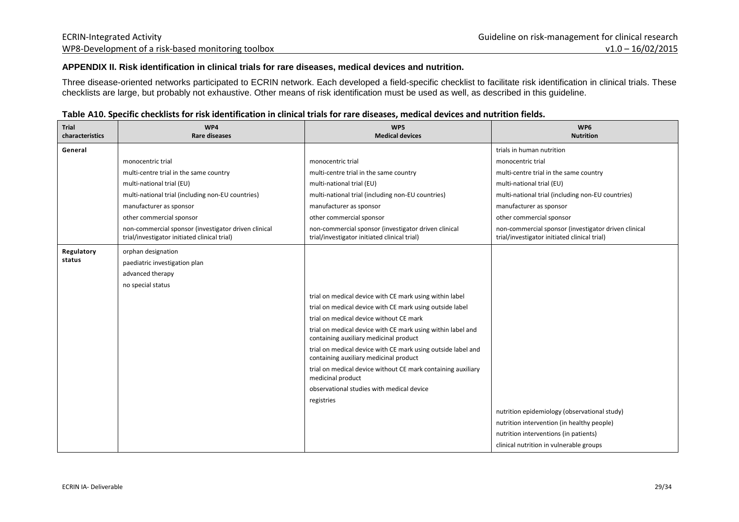#### **APPENDIX II. Risk identification in clinical trials for rare diseases, medical devices and nutrition.**

Three disease-oriented networks participated to ECRIN network. Each developed a field-specific checklist to facilitate risk identification in clinical trials. These checklists are large, but probably not exhaustive. Other means of risk identification must be used as well, as described in this guideline.

| <b>Trial</b><br>characteristics | WP4<br><b>Rare diseases</b>                                                                          | WP5<br><b>Medical devices</b>                                                                          | WP6<br><b>Nutrition</b>                                                                              |
|---------------------------------|------------------------------------------------------------------------------------------------------|--------------------------------------------------------------------------------------------------------|------------------------------------------------------------------------------------------------------|
| General                         |                                                                                                      |                                                                                                        | trials in human nutrition                                                                            |
|                                 | monocentric trial                                                                                    | monocentric trial                                                                                      | monocentric trial                                                                                    |
|                                 | multi-centre trial in the same country                                                               | multi-centre trial in the same country                                                                 | multi-centre trial in the same country                                                               |
|                                 | multi-national trial (EU)                                                                            | multi-national trial (EU)                                                                              | multi-national trial (EU)                                                                            |
|                                 | multi-national trial (including non-EU countries)                                                    | multi-national trial (including non-EU countries)                                                      | multi-national trial (including non-EU countries)                                                    |
|                                 | manufacturer as sponsor                                                                              | manufacturer as sponsor                                                                                | manufacturer as sponsor                                                                              |
|                                 | other commercial sponsor                                                                             | other commercial sponsor                                                                               | other commercial sponsor                                                                             |
|                                 | non-commercial sponsor (investigator driven clinical<br>trial/investigator initiated clinical trial) | non-commercial sponsor (investigator driven clinical<br>trial/investigator initiated clinical trial)   | non-commercial sponsor (investigator driven clinical<br>trial/investigator initiated clinical trial) |
| Regulatory                      | orphan designation                                                                                   |                                                                                                        |                                                                                                      |
| status                          | paediatric investigation plan                                                                        |                                                                                                        |                                                                                                      |
|                                 | advanced therapy                                                                                     |                                                                                                        |                                                                                                      |
|                                 | no special status                                                                                    |                                                                                                        |                                                                                                      |
|                                 |                                                                                                      | trial on medical device with CE mark using within label                                                |                                                                                                      |
|                                 |                                                                                                      | trial on medical device with CE mark using outside label                                               |                                                                                                      |
|                                 |                                                                                                      | trial on medical device without CE mark                                                                |                                                                                                      |
|                                 |                                                                                                      | trial on medical device with CE mark using within label and<br>containing auxiliary medicinal product  |                                                                                                      |
|                                 |                                                                                                      | trial on medical device with CE mark using outside label and<br>containing auxiliary medicinal product |                                                                                                      |
|                                 |                                                                                                      | trial on medical device without CE mark containing auxiliary<br>medicinal product                      |                                                                                                      |
|                                 |                                                                                                      | observational studies with medical device                                                              |                                                                                                      |
|                                 |                                                                                                      | registries                                                                                             |                                                                                                      |
|                                 |                                                                                                      |                                                                                                        | nutrition epidemiology (observational study)                                                         |
|                                 |                                                                                                      |                                                                                                        | nutrition intervention (in healthy people)                                                           |
|                                 |                                                                                                      |                                                                                                        | nutrition interventions (in patients)                                                                |
|                                 |                                                                                                      |                                                                                                        | clinical nutrition in vulnerable groups                                                              |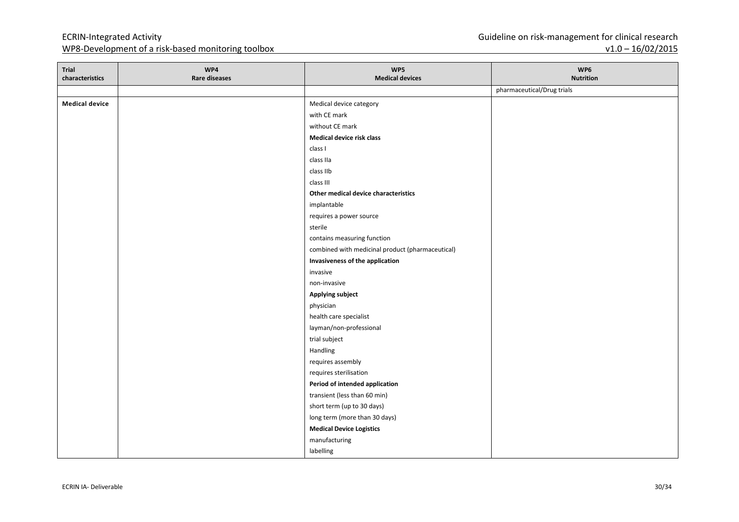| Trial<br>characteristics | WP4<br><b>Rare diseases</b> | WP5<br><b>Medical devices</b>                    | WP6<br><b>Nutrition</b>    |
|--------------------------|-----------------------------|--------------------------------------------------|----------------------------|
|                          |                             |                                                  | pharmaceutical/Drug trials |
| <b>Medical device</b>    |                             | Medical device category                          |                            |
|                          |                             | with CE mark                                     |                            |
|                          |                             | without CE mark                                  |                            |
|                          |                             | Medical device risk class                        |                            |
|                          |                             | class I                                          |                            |
|                          |                             | class IIa                                        |                            |
|                          |                             | class IIb                                        |                            |
|                          |                             | class III                                        |                            |
|                          |                             | Other medical device characteristics             |                            |
|                          |                             | implantable                                      |                            |
|                          |                             | requires a power source                          |                            |
|                          |                             | sterile                                          |                            |
|                          |                             | contains measuring function                      |                            |
|                          |                             | combined with medicinal product (pharmaceutical) |                            |
|                          |                             | Invasiveness of the application                  |                            |
|                          |                             | invasive                                         |                            |
|                          |                             | non-invasive                                     |                            |
|                          |                             | <b>Applying subject</b>                          |                            |
|                          |                             | physician                                        |                            |
|                          |                             | health care specialist                           |                            |
|                          |                             | layman/non-professional                          |                            |
|                          |                             | trial subject                                    |                            |
|                          |                             | Handling                                         |                            |
|                          |                             | requires assembly                                |                            |
|                          |                             | requires sterilisation                           |                            |
|                          |                             | Period of intended application                   |                            |
|                          |                             | transient (less than 60 min)                     |                            |
|                          |                             | short term (up to 30 days)                       |                            |
|                          |                             | long term (more than 30 days)                    |                            |
|                          |                             | <b>Medical Device Logistics</b>                  |                            |
|                          |                             | manufacturing                                    |                            |
|                          |                             | labelling                                        |                            |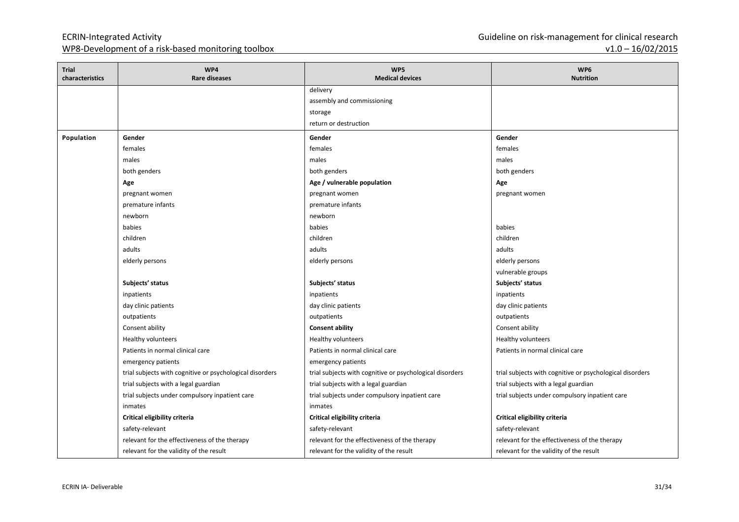| <b>Trial</b><br>characteristics | WP4<br><b>Rare diseases</b>                              | WP5<br><b>Medical devices</b>                            | WP6<br><b>Nutrition</b>                                  |
|---------------------------------|----------------------------------------------------------|----------------------------------------------------------|----------------------------------------------------------|
|                                 |                                                          | delivery                                                 |                                                          |
|                                 |                                                          | assembly and commissioning                               |                                                          |
|                                 |                                                          | storage                                                  |                                                          |
|                                 |                                                          | return or destruction                                    |                                                          |
| Population                      | Gender                                                   | Gender                                                   | Gender                                                   |
|                                 | females                                                  | females                                                  | females                                                  |
|                                 | males                                                    | males                                                    | males                                                    |
|                                 | both genders                                             | both genders                                             | both genders                                             |
|                                 | Age                                                      | Age / vulnerable population                              | Age                                                      |
|                                 | pregnant women                                           | pregnant women                                           | pregnant women                                           |
|                                 | premature infants                                        | premature infants                                        |                                                          |
|                                 | newborn                                                  | newborn                                                  |                                                          |
|                                 | babies                                                   | babies                                                   | babies                                                   |
|                                 | children                                                 | children                                                 | children                                                 |
|                                 | adults                                                   | adults                                                   | adults                                                   |
|                                 | elderly persons                                          | elderly persons                                          | elderly persons                                          |
|                                 |                                                          |                                                          | vulnerable groups                                        |
|                                 | Subjects' status                                         | Subjects' status                                         | Subjects' status                                         |
|                                 | inpatients                                               | inpatients                                               | inpatients                                               |
|                                 | day clinic patients                                      | day clinic patients                                      | day clinic patients                                      |
|                                 | outpatients                                              | outpatients                                              | outpatients                                              |
|                                 | Consent ability                                          | <b>Consent ability</b>                                   | Consent ability                                          |
|                                 | Healthy volunteers                                       | <b>Healthy volunteers</b>                                | Healthy volunteers                                       |
|                                 | Patients in normal clinical care                         | Patients in normal clinical care                         | Patients in normal clinical care                         |
|                                 | emergency patients                                       | emergency patients                                       |                                                          |
|                                 | trial subjects with cognitive or psychological disorders | trial subjects with cognitive or psychological disorders | trial subjects with cognitive or psychological disorders |
|                                 | trial subjects with a legal guardian                     | trial subjects with a legal guardian                     | trial subjects with a legal guardian                     |
|                                 | trial subjects under compulsory inpatient care           | trial subjects under compulsory inpatient care           | trial subjects under compulsory inpatient care           |
|                                 | inmates                                                  | inmates                                                  |                                                          |
|                                 | Critical eligibility criteria                            | Critical eligibility criteria                            | Critical eligibility criteria                            |
|                                 | safety-relevant                                          | safety-relevant                                          | safety-relevant                                          |
|                                 | relevant for the effectiveness of the therapy            | relevant for the effectiveness of the therapy            | relevant for the effectiveness of the therapy            |
|                                 | relevant for the validity of the result                  | relevant for the validity of the result                  | relevant for the validity of the result                  |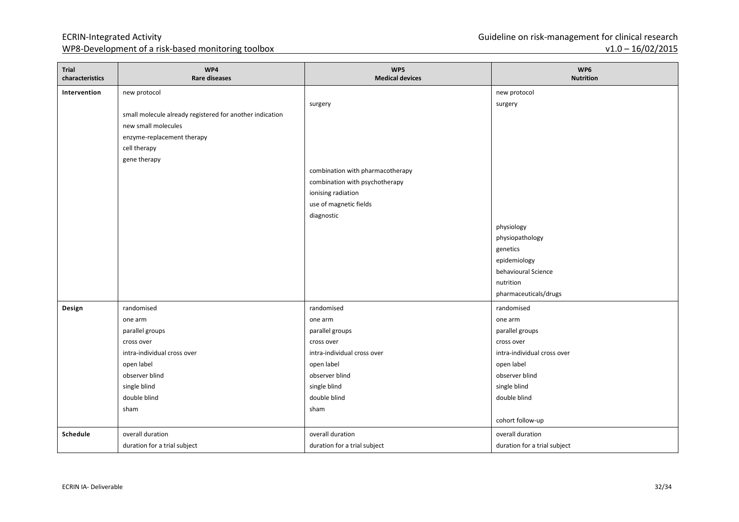| Trial<br>characteristics | WP4<br><b>Rare diseases</b>                              | WP5<br><b>Medical devices</b>    | WP6<br><b>Nutrition</b>      |
|--------------------------|----------------------------------------------------------|----------------------------------|------------------------------|
| Intervention             | new protocol                                             |                                  | new protocol                 |
|                          |                                                          | surgery                          | surgery                      |
|                          | small molecule already registered for another indication |                                  |                              |
|                          | new small molecules                                      |                                  |                              |
|                          | enzyme-replacement therapy                               |                                  |                              |
|                          | cell therapy                                             |                                  |                              |
|                          | gene therapy                                             |                                  |                              |
|                          |                                                          | combination with pharmacotherapy |                              |
|                          |                                                          | combination with psychotherapy   |                              |
|                          |                                                          | ionising radiation               |                              |
|                          |                                                          | use of magnetic fields           |                              |
|                          |                                                          | diagnostic                       |                              |
|                          |                                                          |                                  | physiology                   |
|                          |                                                          |                                  | physiopathology              |
|                          |                                                          |                                  | genetics                     |
|                          |                                                          |                                  | epidemiology                 |
|                          |                                                          |                                  | behavioural Science          |
|                          |                                                          |                                  | nutrition                    |
|                          |                                                          |                                  | pharmaceuticals/drugs        |
| Design                   | randomised                                               | randomised                       | randomised                   |
|                          | one arm                                                  | one arm                          | one arm                      |
|                          | parallel groups                                          | parallel groups                  | parallel groups              |
|                          | cross over                                               | cross over                       | cross over                   |
|                          | intra-individual cross over                              | intra-individual cross over      | intra-individual cross over  |
|                          | open label                                               | open label                       | open label                   |
|                          | observer blind                                           | observer blind                   | observer blind               |
|                          | single blind                                             | single blind                     | single blind                 |
|                          | double blind                                             | double blind                     | double blind                 |
|                          | sham                                                     | sham                             |                              |
|                          |                                                          |                                  | cohort follow-up             |
| Schedule                 | overall duration                                         | overall duration                 | overall duration             |
|                          | duration for a trial subject                             | duration for a trial subject     | duration for a trial subject |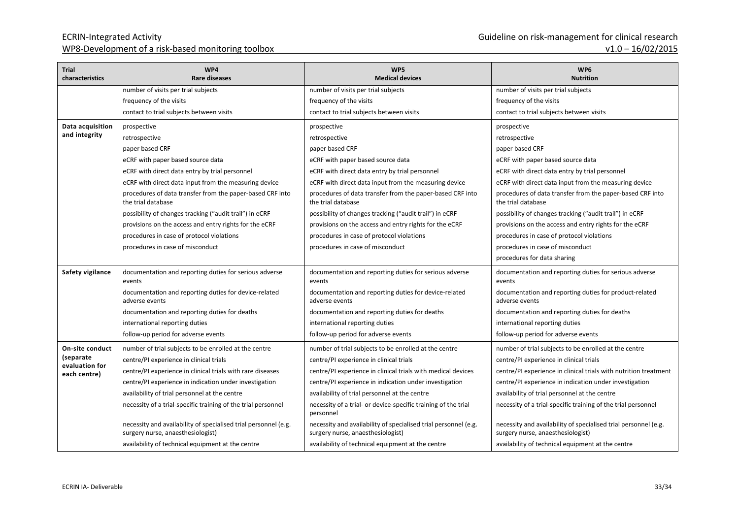| Trial<br>characteristics       | WP4<br><b>Rare diseases</b>                                                                          | WP5<br><b>Medical devices</b>                                                                        | WP6<br><b>Nutrition</b>                                                                              |
|--------------------------------|------------------------------------------------------------------------------------------------------|------------------------------------------------------------------------------------------------------|------------------------------------------------------------------------------------------------------|
|                                | number of visits per trial subjects                                                                  | number of visits per trial subjects                                                                  | number of visits per trial subjects                                                                  |
|                                | frequency of the visits                                                                              | frequency of the visits                                                                              | frequency of the visits                                                                              |
|                                | contact to trial subjects between visits                                                             | contact to trial subjects between visits                                                             | contact to trial subjects between visits                                                             |
| Data acquisition               | prospective                                                                                          | prospective                                                                                          | prospective                                                                                          |
| and integrity                  | retrospective                                                                                        | retrospective                                                                                        | retrospective                                                                                        |
|                                | paper based CRF                                                                                      | paper based CRF                                                                                      | paper based CRF                                                                                      |
|                                | eCRF with paper based source data                                                                    | eCRF with paper based source data                                                                    | eCRF with paper based source data                                                                    |
|                                | eCRF with direct data entry by trial personnel                                                       | eCRF with direct data entry by trial personnel                                                       | eCRF with direct data entry by trial personnel                                                       |
|                                | eCRF with direct data input from the measuring device                                                | eCRF with direct data input from the measuring device                                                | eCRF with direct data input from the measuring device                                                |
|                                | procedures of data transfer from the paper-based CRF into<br>the trial database                      | procedures of data transfer from the paper-based CRF into<br>the trial database                      | procedures of data transfer from the paper-based CRF into<br>the trial database                      |
|                                | possibility of changes tracking ("audit trail") in eCRF                                              | possibility of changes tracking ("audit trail") in eCRF                                              | possibility of changes tracking ("audit trail") in eCRF                                              |
|                                | provisions on the access and entry rights for the eCRF                                               | provisions on the access and entry rights for the eCRF                                               | provisions on the access and entry rights for the eCRF                                               |
|                                | procedures in case of protocol violations                                                            | procedures in case of protocol violations                                                            | procedures in case of protocol violations                                                            |
|                                | procedures in case of misconduct                                                                     | procedures in case of misconduct                                                                     | procedures in case of misconduct                                                                     |
|                                |                                                                                                      |                                                                                                      | procedures for data sharing                                                                          |
| Safety vigilance               | documentation and reporting duties for serious adverse<br>events                                     | documentation and reporting duties for serious adverse<br>events                                     | documentation and reporting duties for serious adverse<br>events                                     |
|                                | documentation and reporting duties for device-related<br>adverse events                              | documentation and reporting duties for device-related<br>adverse events                              | documentation and reporting duties for product-related<br>adverse events                             |
|                                | documentation and reporting duties for deaths                                                        | documentation and reporting duties for deaths                                                        | documentation and reporting duties for deaths                                                        |
|                                | international reporting duties                                                                       | international reporting duties                                                                       | international reporting duties                                                                       |
|                                | follow-up period for adverse events                                                                  | follow-up period for adverse events                                                                  | follow-up period for adverse events                                                                  |
| On-site conduct                | number of trial subjects to be enrolled at the centre                                                | number of trial subjects to be enrolled at the centre                                                | number of trial subjects to be enrolled at the centre                                                |
| (separate                      | centre/PI experience in clinical trials                                                              | centre/PI experience in clinical trials                                                              | centre/PI experience in clinical trials                                                              |
| evaluation for<br>each centre) | centre/PI experience in clinical trials with rare diseases                                           | centre/PI experience in clinical trials with medical devices                                         | centre/PI experience in clinical trials with nutrition treatment                                     |
|                                | centre/PI experience in indication under investigation                                               | centre/PI experience in indication under investigation                                               | centre/PI experience in indication under investigation                                               |
|                                | availability of trial personnel at the centre                                                        | availability of trial personnel at the centre                                                        | availability of trial personnel at the centre                                                        |
|                                | necessity of a trial-specific training of the trial personnel                                        | necessity of a trial- or device-specific training of the trial<br>personnel                          | necessity of a trial-specific training of the trial personnel                                        |
|                                | necessity and availability of specialised trial personnel (e.g.<br>surgery nurse, anaesthesiologist) | necessity and availability of specialised trial personnel (e.g.<br>surgery nurse, anaesthesiologist) | necessity and availability of specialised trial personnel (e.g.<br>surgery nurse, anaesthesiologist) |
|                                | availability of technical equipment at the centre                                                    | availability of technical equipment at the centre                                                    | availability of technical equipment at the centre                                                    |